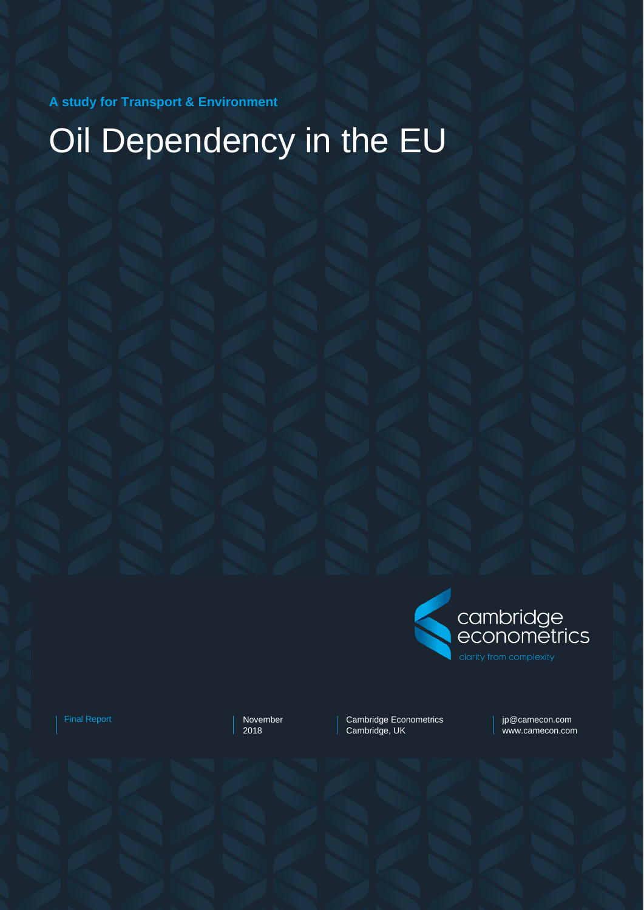**A study for Transport & Environment**

# Oil Dependency in the EU



Final Report November November

2018

Cambridge Econometrics Cambridge, UK

jp@camecon.com www.camecon.com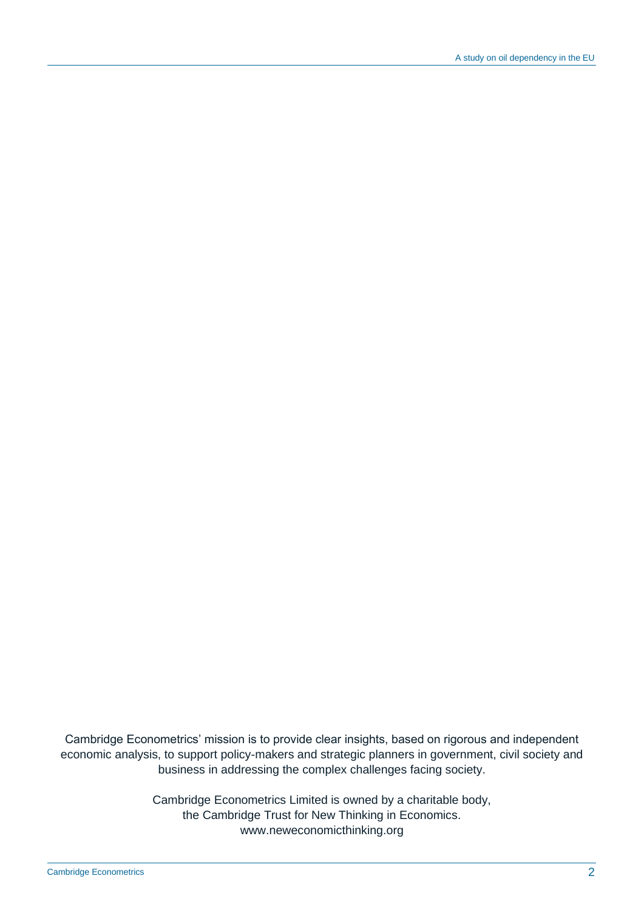Cambridge Econometrics' mission is to provide clear insights, based on rigorous and independent economic analysis, to support policy-makers and strategic planners in government, civil society and business in addressing the complex challenges facing society.

> Cambridge Econometrics Limited is owned by a charitable body, the Cambridge Trust for New Thinking in Economics. www.neweconomicthinking.org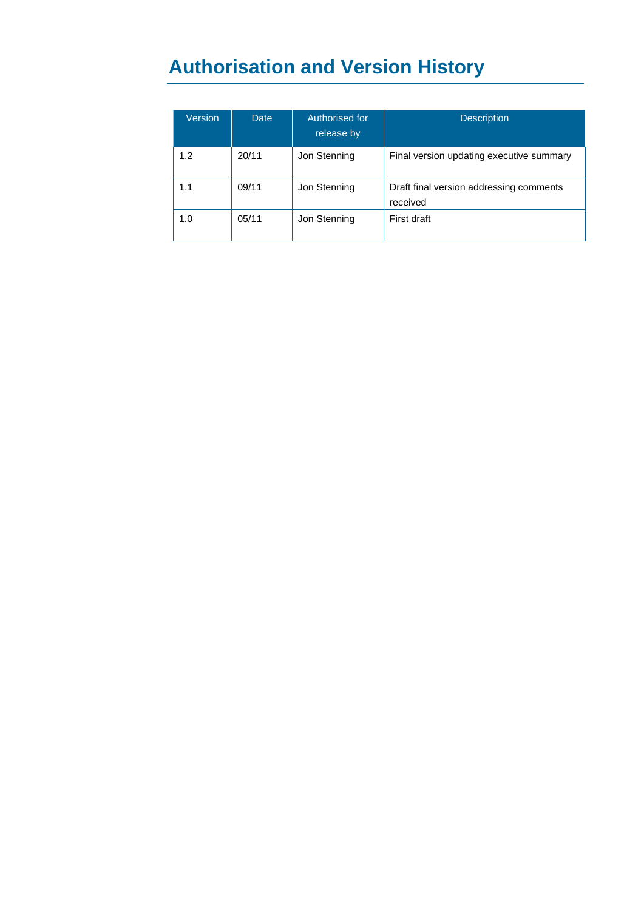# **Authorisation and Version History**

| Version | <b>Date</b> | Authorised for<br>release by | <b>Description</b>                                  |
|---------|-------------|------------------------------|-----------------------------------------------------|
| 1.2     | 20/11       | Jon Stenning                 | Final version updating executive summary            |
| 1.1     | 09/11       | Jon Stenning                 | Draft final version addressing comments<br>received |
| 1.0     | 05/11       | Jon Stenning                 | First draft                                         |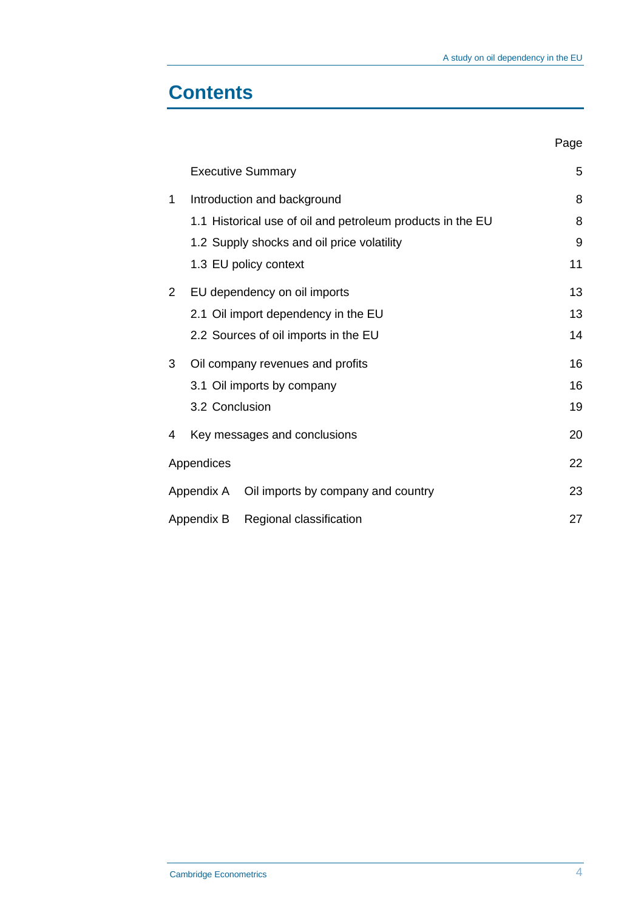### **Contents**

|   |                                               |                                                            | Page |
|---|-----------------------------------------------|------------------------------------------------------------|------|
|   |                                               | <b>Executive Summary</b>                                   | 5    |
| 1 |                                               | Introduction and background                                | 8    |
|   |                                               | 1.1 Historical use of oil and petroleum products in the EU | 8    |
|   |                                               | 1.2 Supply shocks and oil price volatility                 | 9    |
|   |                                               | 1.3 EU policy context                                      | 11   |
| 2 |                                               | EU dependency on oil imports                               | 13   |
|   |                                               | 2.1 Oil import dependency in the EU                        | 13   |
|   |                                               | 2.2 Sources of oil imports in the EU                       | 14   |
| 3 |                                               | Oil company revenues and profits                           | 16   |
|   |                                               | 3.1 Oil imports by company                                 | 16   |
|   | 3.2 Conclusion                                |                                                            | 19   |
| 4 |                                               | Key messages and conclusions                               | 20   |
|   | Appendices                                    |                                                            | 22   |
|   | Appendix A Oil imports by company and country |                                                            |      |
|   | Appendix B Regional classification            |                                                            | 27   |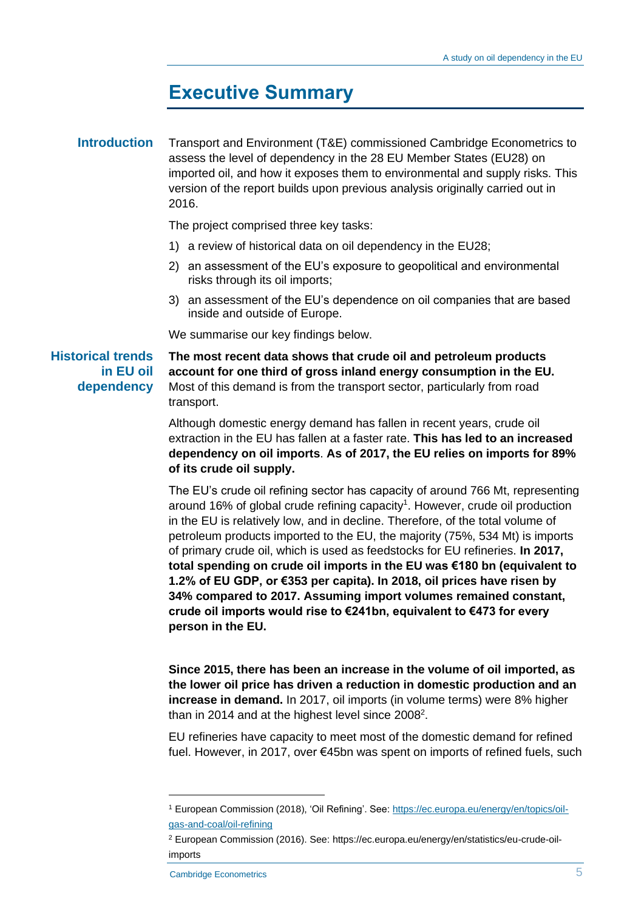### **Executive Summary**

#### Transport and Environment (T&E) commissioned Cambridge Econometrics to assess the level of dependency in the 28 EU Member States (EU28) on imported oil, and how it exposes them to environmental and supply risks. This version of the report builds upon previous analysis originally carried out in 2016. **Introduction**

The project comprised three key tasks:

- 1) a review of historical data on oil dependency in the EU28;
- 2) an assessment of the EU's exposure to geopolitical and environmental risks through its oil imports;
- 3) an assessment of the EU's dependence on oil companies that are based inside and outside of Europe.

We summarise our key findings below.

**Historical trends in EU oil dependency** 

**The most recent data shows that crude oil and petroleum products account for one third of gross inland energy consumption in the EU.**  Most of this demand is from the transport sector, particularly from road transport.

Although domestic energy demand has fallen in recent years, crude oil extraction in the EU has fallen at a faster rate. **This has led to an increased dependency on oil imports**. **As of 2017, the EU relies on imports for 89% of its crude oil supply.**

The EU's crude oil refining sector has capacity of around 766 Mt, representing around 16% of global crude refining capacity<sup>1</sup>. However, crude oil production in the EU is relatively low, and in decline. Therefore, of the total volume of petroleum products imported to the EU, the majority (75%, 534 Mt) is imports of primary crude oil, which is used as feedstocks for EU refineries. **In 2017, total spending on crude oil imports in the EU was €180 bn (equivalent to 1.2% of EU GDP, or €353 per capita). In 2018, oil prices have risen by 34% compared to 2017. Assuming import volumes remained constant, crude oil imports would rise to €241bn, equivalent to €473 for every person in the EU.**

**Since 2015, there has been an increase in the volume of oil imported, as the lower oil price has driven a reduction in domestic production and an increase in demand.** In 2017, oil imports (in volume terms) were 8% higher than in 2014 and at the highest level since 2008<sup>2</sup>.

EU refineries have capacity to meet most of the domestic demand for refined fuel. However, in 2017, over €45bn was spent on imports of refined fuels, such

<sup>1</sup> European Commission (2018), 'Oil Refining'. See: [https://ec.europa.eu/energy/en/topics/oil](https://ec.europa.eu/energy/en/topics/oil-gas-and-coal/oil-refining)[gas-and-coal/oil-refining](https://ec.europa.eu/energy/en/topics/oil-gas-and-coal/oil-refining)

<sup>2</sup> European Commission (2016). See: https://ec.europa.eu/energy/en/statistics/eu-crude-oilimports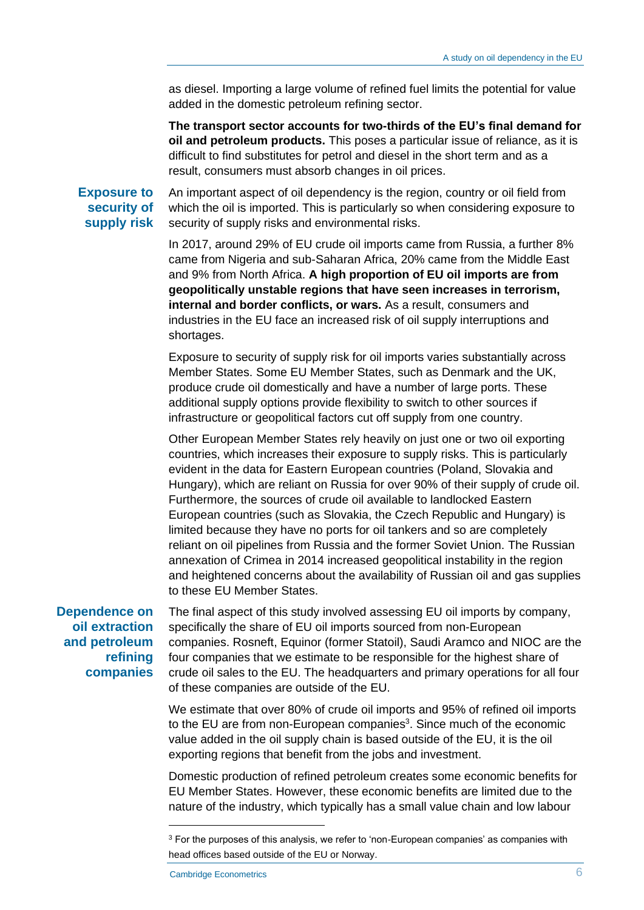as diesel. Importing a large volume of refined fuel limits the potential for value added in the domestic petroleum refining sector.

**The transport sector accounts for two-thirds of the EU's final demand for oil and petroleum products.** This poses a particular issue of reliance, as it is difficult to find substitutes for petrol and diesel in the short term and as a result, consumers must absorb changes in oil prices.

**Exposure to security of supply risk**

An important aspect of oil dependency is the region, country or oil field from which the oil is imported. This is particularly so when considering exposure to security of supply risks and environmental risks.

In 2017, around 29% of EU crude oil imports came from Russia, a further 8% came from Nigeria and sub-Saharan Africa, 20% came from the Middle East and 9% from North Africa. **A high proportion of EU oil imports are from geopolitically unstable regions that have seen increases in terrorism, internal and border conflicts, or wars.** As a result, consumers and industries in the EU face an increased risk of oil supply interruptions and shortages.

Exposure to security of supply risk for oil imports varies substantially across Member States. Some EU Member States, such as Denmark and the UK, produce crude oil domestically and have a number of large ports. These additional supply options provide flexibility to switch to other sources if infrastructure or geopolitical factors cut off supply from one country.

Other European Member States rely heavily on just one or two oil exporting countries, which increases their exposure to supply risks. This is particularly evident in the data for Eastern European countries (Poland, Slovakia and Hungary), which are reliant on Russia for over 90% of their supply of crude oil. Furthermore, the sources of crude oil available to landlocked Eastern European countries (such as Slovakia, the Czech Republic and Hungary) is limited because they have no ports for oil tankers and so are completely reliant on oil pipelines from Russia and the former Soviet Union. The Russian annexation of Crimea in 2014 increased geopolitical instability in the region and heightened concerns about the availability of Russian oil and gas supplies to these EU Member States.

**Dependence on oil extraction and petroleum refining companies**

The final aspect of this study involved assessing EU oil imports by company, specifically the share of EU oil imports sourced from non-European companies. Rosneft, Equinor (former Statoil), Saudi Aramco and NIOC are the four companies that we estimate to be responsible for the highest share of crude oil sales to the EU. The headquarters and primary operations for all four of these companies are outside of the EU.

We estimate that over 80% of crude oil imports and 95% of refined oil imports to the EU are from non-European companies<sup>3</sup>. Since much of the economic value added in the oil supply chain is based outside of the EU, it is the oil exporting regions that benefit from the jobs and investment.

Domestic production of refined petroleum creates some economic benefits for EU Member States. However, these economic benefits are limited due to the nature of the industry, which typically has a small value chain and low labour

<sup>&</sup>lt;sup>3</sup> For the purposes of this analysis, we refer to 'non-European companies' as companies with head offices based outside of the EU or Norway.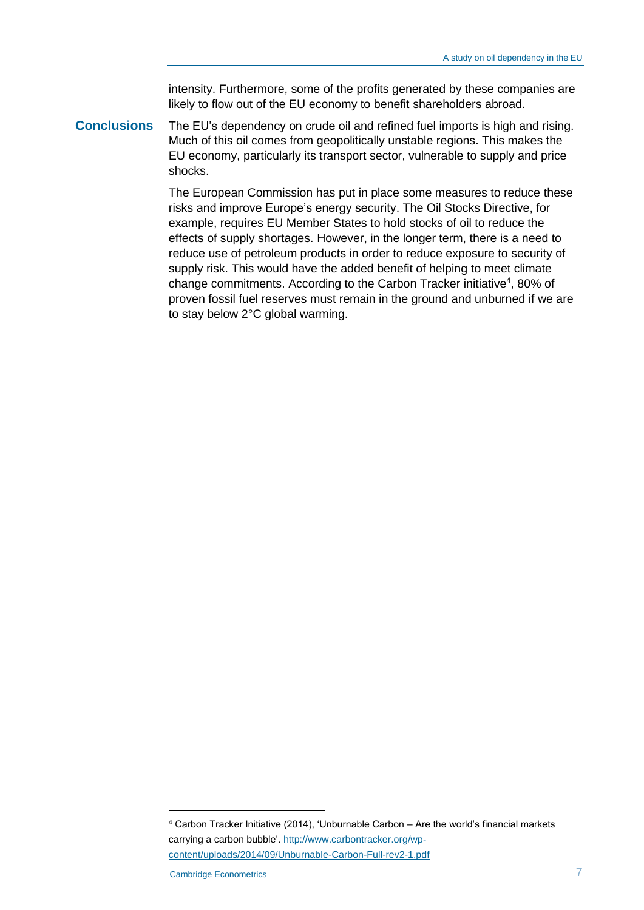intensity. Furthermore, some of the profits generated by these companies are likely to flow out of the EU economy to benefit shareholders abroad.

The EU's dependency on crude oil and refined fuel imports is high and rising. Much of this oil comes from geopolitically unstable regions. This makes the EU economy, particularly its transport sector, vulnerable to supply and price shocks. **Conclusions**

> The European Commission has put in place some measures to reduce these risks and improve Europe's energy security. The Oil Stocks Directive, for example, requires EU Member States to hold stocks of oil to reduce the effects of supply shortages. However, in the longer term, there is a need to reduce use of petroleum products in order to reduce exposure to security of supply risk. This would have the added benefit of helping to meet climate change commitments. According to the Carbon Tracker initiative<sup>4</sup>, 80% of proven fossil fuel reserves must remain in the ground and unburned if we are to stay below 2°C global warming.

<sup>4</sup> Carbon Tracker Initiative (2014), 'Unburnable Carbon – Are the world's financial markets carrying a carbon bubble'. [http://www.carbontracker.org/wp](http://www.carbontracker.org/wp-content/uploads/2014/09/Unburnable-Carbon-Full-rev2-1.pdf)[content/uploads/2014/09/Unburnable-Carbon-Full-rev2-1.pdf](http://www.carbontracker.org/wp-content/uploads/2014/09/Unburnable-Carbon-Full-rev2-1.pdf)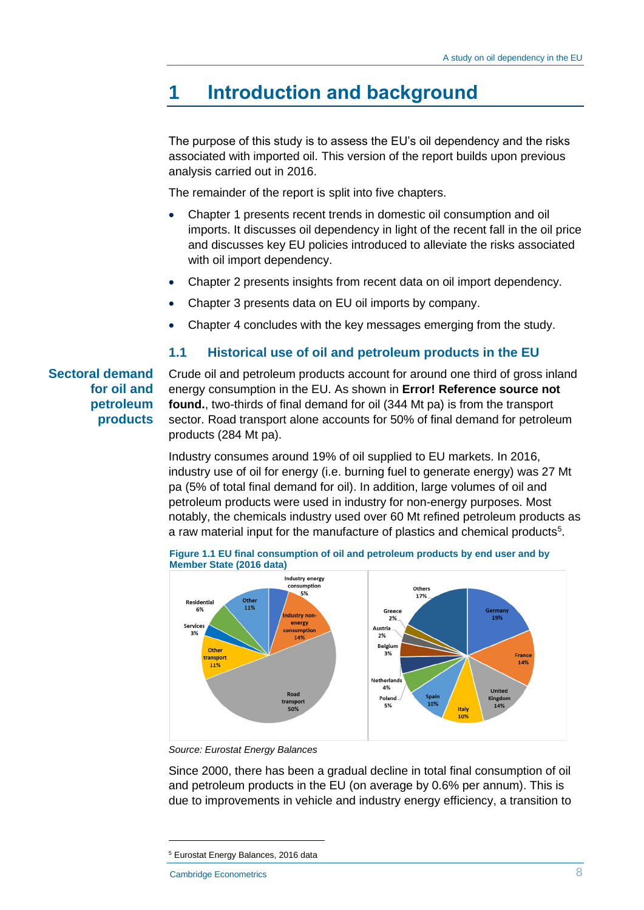### **1 Introduction and background**

The purpose of this study is to assess the EU's oil dependency and the risks associated with imported oil. This version of the report builds upon previous analysis carried out in 2016.

The remainder of the report is split into five chapters.

- Chapter 1 presents recent trends in domestic oil consumption and oil imports. It discusses oil dependency in light of the recent fall in the oil price and discusses key EU policies introduced to alleviate the risks associated with oil import dependency.
- Chapter 2 presents insights from recent data on oil import dependency.
- Chapter 3 presents data on EU oil imports by company.
- Chapter 4 concludes with the key messages emerging from the study.

#### **1.1 Historical use of oil and petroleum products in the EU**

#### **Sectoral demand for oil and petroleum products**

Crude oil and petroleum products account for around one third of gross inland energy consumption in the EU. As shown in **Error! Reference source not found.**, two-thirds of final demand for oil (344 Mt pa) is from the transport sector. Road transport alone accounts for 50% of final demand for petroleum products (284 Mt pa).

Industry consumes around 19% of oil supplied to EU markets. In 2016, industry use of oil for energy (i.e. burning fuel to generate energy) was 27 Mt pa (5% of total final demand for oil). In addition, large volumes of oil and petroleum products were used in industry for non-energy purposes. Most notably, the chemicals industry used over 60 Mt refined petroleum products as a raw material input for the manufacture of plastics and chemical products<sup>5</sup>.





*Source: Eurostat Energy Balances*

Since 2000, there has been a gradual decline in total final consumption of oil and petroleum products in the EU (on average by 0.6% per annum). This is due to improvements in vehicle and industry energy efficiency, a transition to

<sup>5</sup> Eurostat Energy Balances, 2016 data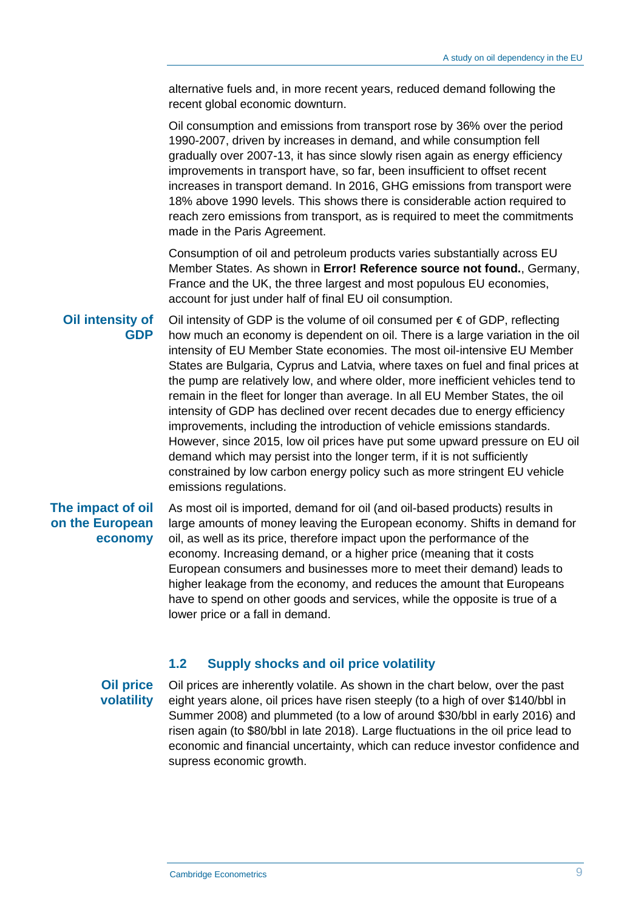alternative fuels and, in more recent years, reduced demand following the recent global economic downturn.

Oil consumption and emissions from transport rose by 36% over the period 1990-2007, driven by increases in demand, and while consumption fell gradually over 2007-13, it has since slowly risen again as energy efficiency improvements in transport have, so far, been insufficient to offset recent increases in transport demand. In 2016, GHG emissions from transport were 18% above 1990 levels. This shows there is considerable action required to reach zero emissions from transport, as is required to meet the commitments made in the Paris Agreement.

Consumption of oil and petroleum products varies substantially across EU Member States. As shown in **Error! Reference source not found.**, Germany, France and the UK, the three largest and most populous EU economies, account for just under half of final EU oil consumption.

**Oil intensity of GDP**

Oil intensity of GDP is the volume of oil consumed per € of GDP, reflecting how much an economy is dependent on oil. There is a large variation in the oil intensity of EU Member State economies. The most oil-intensive EU Member States are Bulgaria, Cyprus and Latvia, where taxes on fuel and final prices at the pump are relatively low, and where older, more inefficient vehicles tend to remain in the fleet for longer than average. In all EU Member States, the oil intensity of GDP has declined over recent decades due to energy efficiency improvements, including the introduction of vehicle emissions standards. However, since 2015, low oil prices have put some upward pressure on EU oil demand which may persist into the longer term, if it is not sufficiently constrained by low carbon energy policy such as more stringent EU vehicle emissions regulations.

#### **The impact of oil on the European economy**

As most oil is imported, demand for oil (and oil-based products) results in large amounts of money leaving the European economy. Shifts in demand for oil, as well as its price, therefore impact upon the performance of the economy. Increasing demand, or a higher price (meaning that it costs European consumers and businesses more to meet their demand) leads to higher leakage from the economy, and reduces the amount that Europeans have to spend on other goods and services, while the opposite is true of a lower price or a fall in demand.

#### **1.2 Supply shocks and oil price volatility**

**Oil price volatility**

Oil prices are inherently volatile. As shown in the chart below, over the past eight years alone, oil prices have risen steeply (to a high of over \$140/bbl in Summer 2008) and plummeted (to a low of around \$30/bbl in early 2016) and risen again (to \$80/bbl in late 2018). Large fluctuations in the oil price lead to economic and financial uncertainty, which can reduce investor confidence and supress economic growth.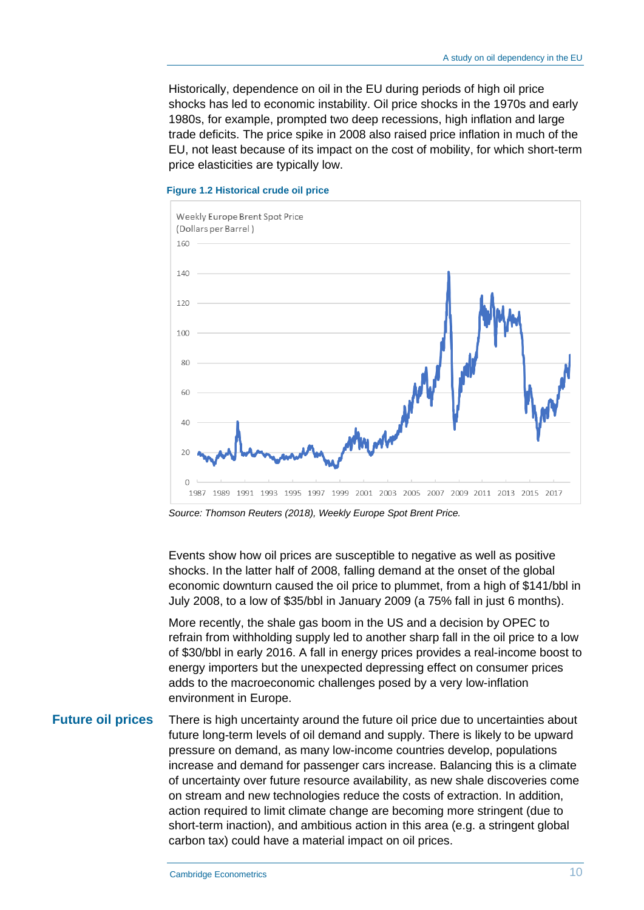Historically, dependence on oil in the EU during periods of high oil price shocks has led to economic instability. Oil price shocks in the 1970s and early 1980s, for example, prompted two deep recessions, high inflation and large trade deficits. The price spike in 2008 also raised price inflation in much of the EU, not least because of its impact on the cost of mobility, for which short-term price elasticities are typically low.



#### **Figure 1.2 Historical crude oil price**

*Source: Thomson Reuters (2018), Weekly Europe Spot Brent Price.*

Events show how oil prices are susceptible to negative as well as positive shocks. In the latter half of 2008, falling demand at the onset of the global economic downturn caused the oil price to plummet, from a high of \$141/bbl in July 2008, to a low of \$35/bbl in January 2009 (a 75% fall in just 6 months).

More recently, the shale gas boom in the US and a decision by OPEC to refrain from withholding supply led to another sharp fall in the oil price to a low of \$30/bbl in early 2016. A fall in energy prices provides a real-income boost to energy importers but the unexpected depressing effect on consumer prices adds to the macroeconomic challenges posed by a very low-inflation environment in Europe.

**Future oil prices**

There is high uncertainty around the future oil price due to uncertainties about future long-term levels of oil demand and supply. There is likely to be upward pressure on demand, as many low-income countries develop, populations increase and demand for passenger cars increase. Balancing this is a climate of uncertainty over future resource availability, as new shale discoveries come on stream and new technologies reduce the costs of extraction. In addition, action required to limit climate change are becoming more stringent (due to short-term inaction), and ambitious action in this area (e.g. a stringent global carbon tax) could have a material impact on oil prices.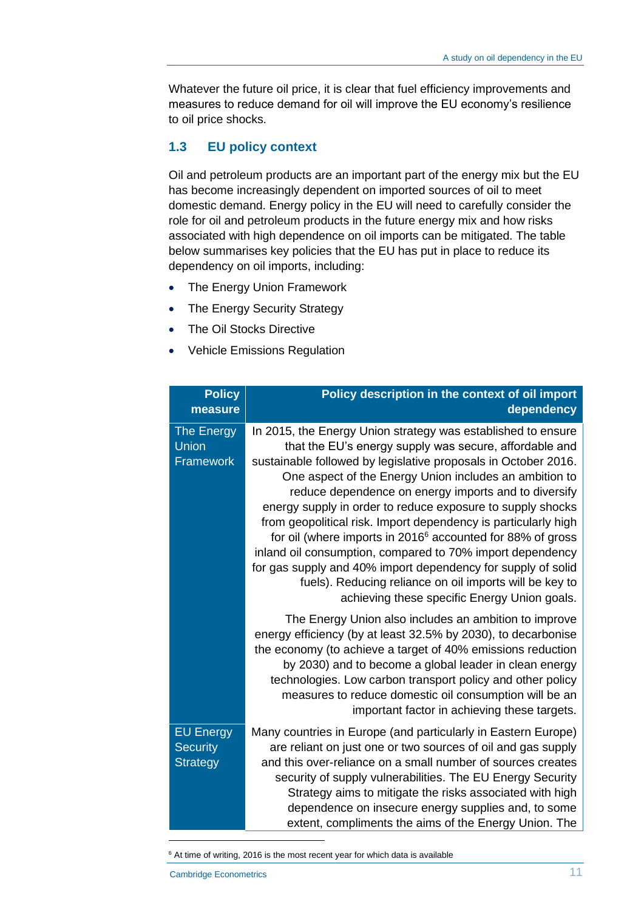Whatever the future oil price, it is clear that fuel efficiency improvements and measures to reduce demand for oil will improve the EU economy's resilience to oil price shocks.

#### **1.3 EU policy context**

Oil and petroleum products are an important part of the energy mix but the EU has become increasingly dependent on imported sources of oil to meet domestic demand. Energy policy in the EU will need to carefully consider the role for oil and petroleum products in the future energy mix and how risks associated with high dependence on oil imports can be mitigated. The table below summarises key policies that the EU has put in place to reduce its dependency on oil imports, including:

- The Energy Union Framework
- The Energy Security Strategy
- The Oil Stocks Directive
- Vehicle Emissions Regulation

| <b>Policy</b><br>measure                               | Policy description in the context of oil import<br>dependency                                                                                                                                                                                                                                                                                                                                                                                                                                                                                                                                                                                                                                                                                                |
|--------------------------------------------------------|--------------------------------------------------------------------------------------------------------------------------------------------------------------------------------------------------------------------------------------------------------------------------------------------------------------------------------------------------------------------------------------------------------------------------------------------------------------------------------------------------------------------------------------------------------------------------------------------------------------------------------------------------------------------------------------------------------------------------------------------------------------|
| The Energy<br>Union<br>Framework                       | In 2015, the Energy Union strategy was established to ensure<br>that the EU's energy supply was secure, affordable and<br>sustainable followed by legislative proposals in October 2016.<br>One aspect of the Energy Union includes an ambition to<br>reduce dependence on energy imports and to diversify<br>energy supply in order to reduce exposure to supply shocks<br>from geopolitical risk. Import dependency is particularly high<br>for oil (where imports in 2016 <sup>6</sup> accounted for 88% of gross<br>inland oil consumption, compared to 70% import dependency<br>for gas supply and 40% import dependency for supply of solid<br>fuels). Reducing reliance on oil imports will be key to<br>achieving these specific Energy Union goals. |
|                                                        | The Energy Union also includes an ambition to improve<br>energy efficiency (by at least 32.5% by 2030), to decarbonise<br>the economy (to achieve a target of 40% emissions reduction<br>by 2030) and to become a global leader in clean energy<br>technologies. Low carbon transport policy and other policy<br>measures to reduce domestic oil consumption will be an<br>important factor in achieving these targets.                                                                                                                                                                                                                                                                                                                                      |
| <b>EU Energy</b><br><b>Security</b><br><b>Strategy</b> | Many countries in Europe (and particularly in Eastern Europe)<br>are reliant on just one or two sources of oil and gas supply<br>and this over-reliance on a small number of sources creates<br>security of supply vulnerabilities. The EU Energy Security<br>Strategy aims to mitigate the risks associated with high<br>dependence on insecure energy supplies and, to some<br>extent, compliments the aims of the Energy Union. The                                                                                                                                                                                                                                                                                                                       |

<sup>&</sup>lt;sup>6</sup> At time of writing, 2016 is the most recent year for which data is available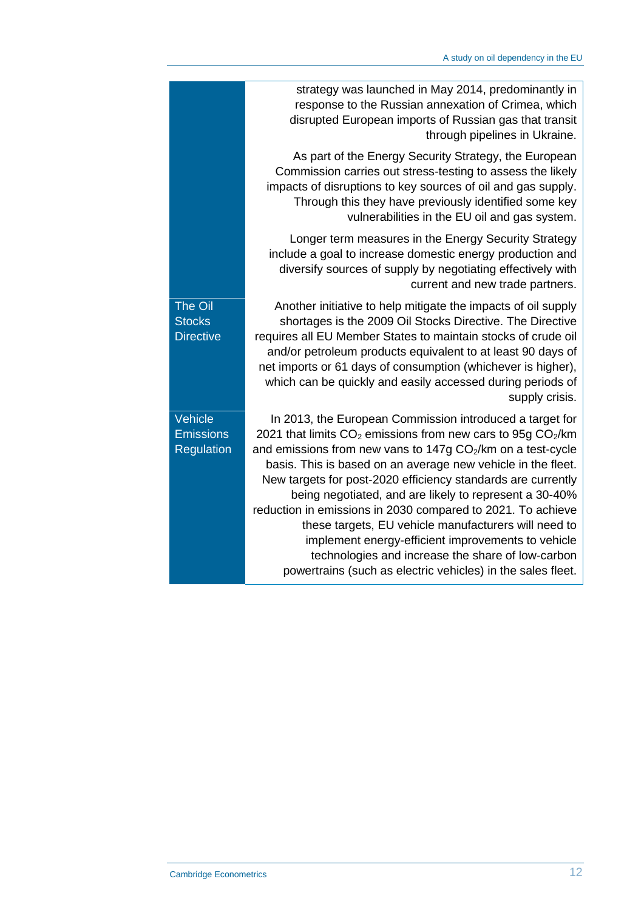|                                                     | strategy was launched in May 2014, predominantly in<br>response to the Russian annexation of Crimea, which<br>disrupted European imports of Russian gas that transit<br>through pipelines in Ukraine.                                                                                                                                                                                                                                                                                                                                                                                                                                                                                            |
|-----------------------------------------------------|--------------------------------------------------------------------------------------------------------------------------------------------------------------------------------------------------------------------------------------------------------------------------------------------------------------------------------------------------------------------------------------------------------------------------------------------------------------------------------------------------------------------------------------------------------------------------------------------------------------------------------------------------------------------------------------------------|
|                                                     | As part of the Energy Security Strategy, the European<br>Commission carries out stress-testing to assess the likely<br>impacts of disruptions to key sources of oil and gas supply.<br>Through this they have previously identified some key<br>vulnerabilities in the EU oil and gas system.                                                                                                                                                                                                                                                                                                                                                                                                    |
|                                                     | Longer term measures in the Energy Security Strategy<br>include a goal to increase domestic energy production and<br>diversify sources of supply by negotiating effectively with<br>current and new trade partners.                                                                                                                                                                                                                                                                                                                                                                                                                                                                              |
| <b>The Oil</b><br><b>Stocks</b><br><b>Directive</b> | Another initiative to help mitigate the impacts of oil supply<br>shortages is the 2009 Oil Stocks Directive. The Directive<br>requires all EU Member States to maintain stocks of crude oil<br>and/or petroleum products equivalent to at least 90 days of<br>net imports or 61 days of consumption (whichever is higher),<br>which can be quickly and easily accessed during periods of<br>supply crisis.                                                                                                                                                                                                                                                                                       |
| Vehicle<br><b>Emissions</b><br>Regulation           | In 2013, the European Commission introduced a target for<br>2021 that limits $CO2$ emissions from new cars to 95g $CO2/km$<br>and emissions from new vans to 147g CO <sub>2</sub> /km on a test-cycle<br>basis. This is based on an average new vehicle in the fleet.<br>New targets for post-2020 efficiency standards are currently<br>being negotiated, and are likely to represent a 30-40%<br>reduction in emissions in 2030 compared to 2021. To achieve<br>these targets, EU vehicle manufacturers will need to<br>implement energy-efficient improvements to vehicle<br>technologies and increase the share of low-carbon<br>powertrains (such as electric vehicles) in the sales fleet. |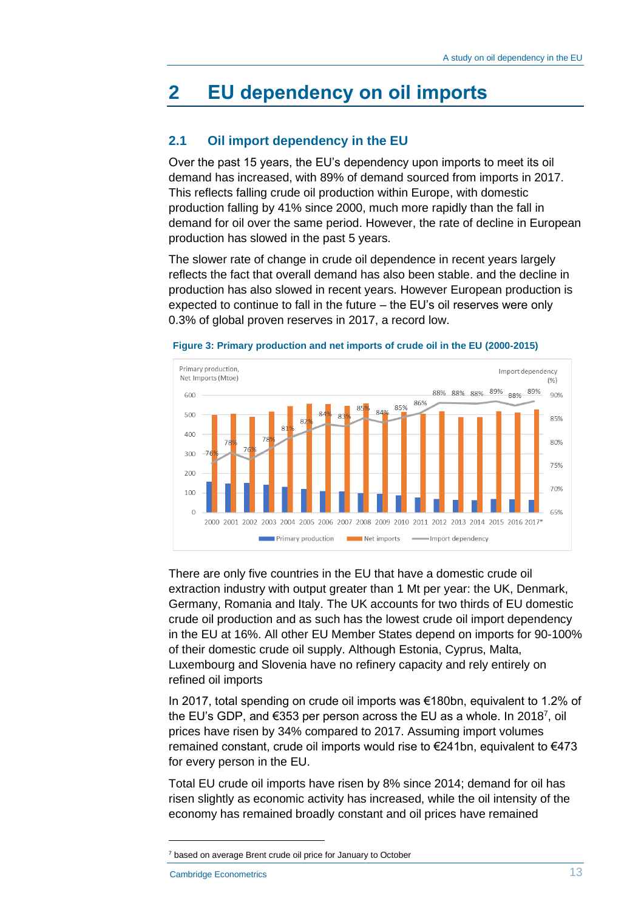### **2 EU dependency on oil imports**

#### **2.1 Oil import dependency in the EU**

Over the past 15 years, the EU's dependency upon imports to meet its oil demand has increased, with 89% of demand sourced from imports in 2017. This reflects falling crude oil production within Europe, with domestic production falling by 41% since 2000, much more rapidly than the fall in demand for oil over the same period. However, the rate of decline in European production has slowed in the past 5 years.

The slower rate of change in crude oil dependence in recent years largely reflects the fact that overall demand has also been stable. and the decline in production has also slowed in recent years. However European production is expected to continue to fall in the future – the EU's oil reserves were only 0.3% of global proven reserves in 2017, a record low.





There are only five countries in the EU that have a domestic crude oil extraction industry with output greater than 1 Mt per year: the UK, Denmark, Germany, Romania and Italy. The UK accounts for two thirds of EU domestic crude oil production and as such has the lowest crude oil import dependency in the EU at 16%. All other EU Member States depend on imports for 90-100% of their domestic crude oil supply. Although Estonia, Cyprus, Malta, Luxembourg and Slovenia have no refinery capacity and rely entirely on refined oil imports

In 2017, total spending on crude oil imports was €180bn, equivalent to 1.2% of the EU's GDP, and €353 per person across the EU as a whole. In 2018<sup>7</sup>, oil prices have risen by 34% compared to 2017. Assuming import volumes remained constant, crude oil imports would rise to  $\epsilon$ 241bn, equivalent to  $\epsilon$ 473 for every person in the EU.

Total EU crude oil imports have risen by 8% since 2014; demand for oil has risen slightly as economic activity has increased, while the oil intensity of the economy has remained broadly constant and oil prices have remained

<sup>&</sup>lt;sup>7</sup> based on average Brent crude oil price for January to October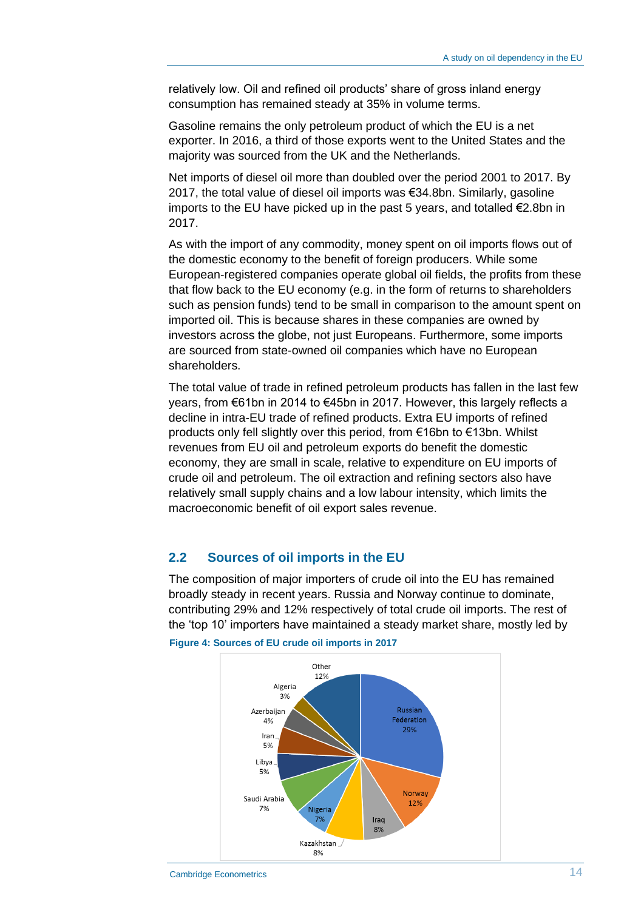relatively low. Oil and refined oil products' share of gross inland energy consumption has remained steady at 35% in volume terms.

Gasoline remains the only petroleum product of which the EU is a net exporter. In 2016, a third of those exports went to the United States and the majority was sourced from the UK and the Netherlands.

Net imports of diesel oil more than doubled over the period 2001 to 2017. By 2017, the total value of diesel oil imports was €34.8bn. Similarly, gasoline imports to the EU have picked up in the past 5 years, and totalled €2.8bn in 2017.

As with the import of any commodity, money spent on oil imports flows out of the domestic economy to the benefit of foreign producers. While some European-registered companies operate global oil fields, the profits from these that flow back to the EU economy (e.g. in the form of returns to shareholders such as pension funds) tend to be small in comparison to the amount spent on imported oil. This is because shares in these companies are owned by investors across the globe, not just Europeans. Furthermore, some imports are sourced from state-owned oil companies which have no European shareholders.

The total value of trade in refined petroleum products has fallen in the last few years, from €61bn in 2014 to €45bn in 2017. However, this largely reflects a decline in intra-EU trade of refined products. Extra EU imports of refined products only fell slightly over this period, from €16bn to €13bn. Whilst revenues from EU oil and petroleum exports do benefit the domestic economy, they are small in scale, relative to expenditure on EU imports of crude oil and petroleum. The oil extraction and refining sectors also have relatively small supply chains and a low labour intensity, which limits the macroeconomic benefit of oil export sales revenue.

#### **2.2 Sources of oil imports in the EU**

The composition of major importers of crude oil into the EU has remained broadly steady in recent years. Russia and Norway continue to dominate, contributing 29% and 12% respectively of total crude oil imports. The rest of the 'top 10' importers have maintained a steady market share, mostly led by



**Figure 4: Sources of EU crude oil imports in 2017**

Cambridge Econometrics 2001 12 and 2008 12 and 2008 12 and 2008 12 and 2008 12 and 2008 12 and 2008 12 and 200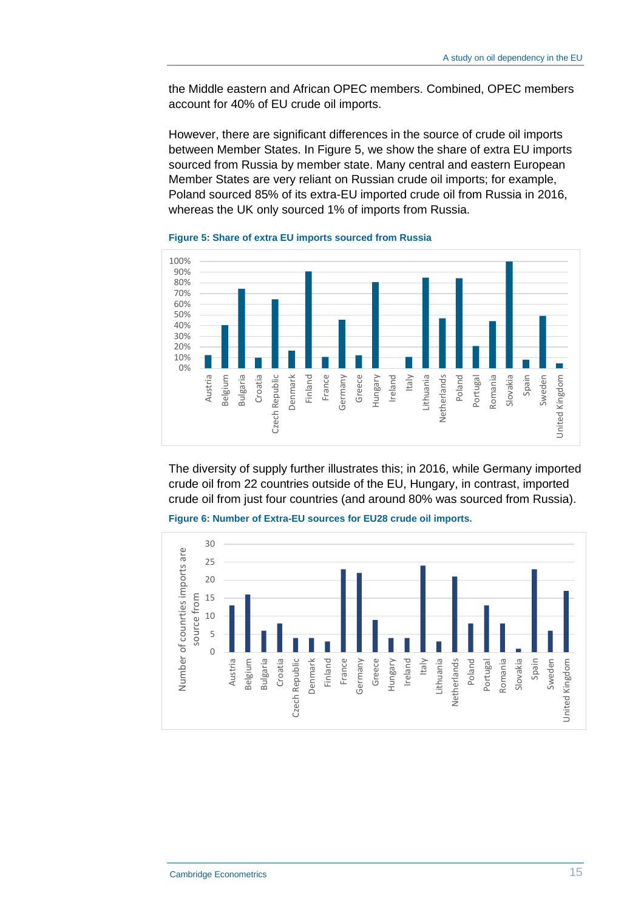the Middle eastern and African OPEC members. Combined, OPEC members account for 40% of EU crude oil imports.

However, there are significant differences in the source of crude oil imports between Member States. In [Figure 5,](#page-14-0) we show the share of extra EU imports sourced from Russia by member state. Many central and eastern European Member States are very reliant on Russian crude oil imports; for example, Poland sourced 85% of its extra-EU imported crude oil from Russia in 2016, whereas the UK only sourced 1% of imports from Russia.



<span id="page-14-0"></span>**Figure 5: Share of extra EU imports sourced from Russia** 

The diversity of supply further illustrates this; in 2016, while Germany imported crude oil from 22 countries outside of the EU, Hungary, in contrast, imported crude oil from just four countries (and around 80% was sourced from Russia).



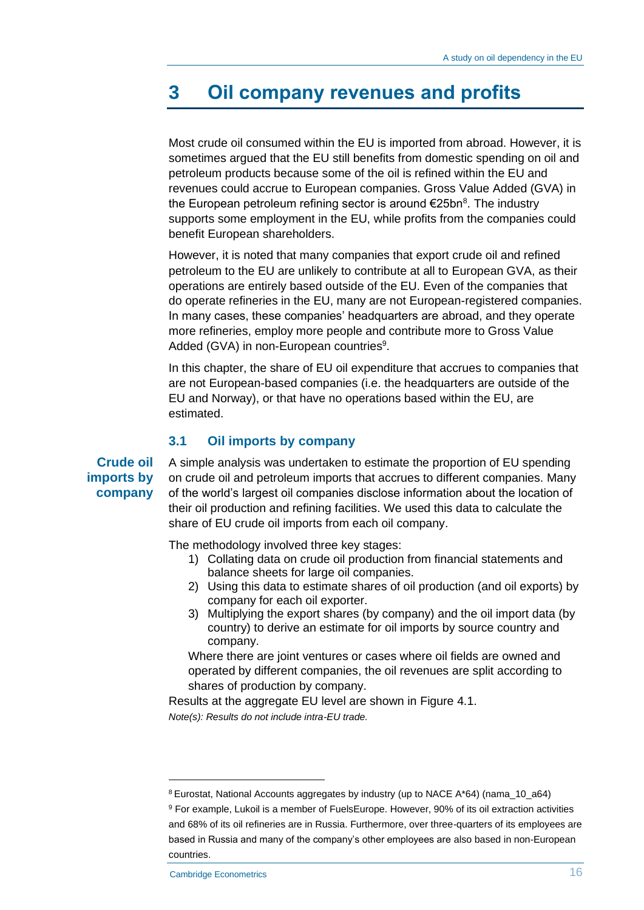### **3 Oil company revenues and profits**

Most crude oil consumed within the EU is imported from abroad. However, it is sometimes argued that the EU still benefits from domestic spending on oil and petroleum products because some of the oil is refined within the EU and revenues could accrue to European companies. Gross Value Added (GVA) in the European petroleum refining sector is around €25bn<sup>8</sup>. The industry supports some employment in the EU, while profits from the companies could benefit European shareholders.

However, it is noted that many companies that export crude oil and refined petroleum to the EU are unlikely to contribute at all to European GVA, as their operations are entirely based outside of the EU. Even of the companies that do operate refineries in the EU, many are not European-registered companies. In many cases, these companies' headquarters are abroad, and they operate more refineries, employ more people and contribute more to Gross Value Added (GVA) in non-European countries<sup>9</sup>.

In this chapter, the share of EU oil expenditure that accrues to companies that are not European-based companies (i.e. the headquarters are outside of the EU and Norway), or that have no operations based within the EU, are estimated.

#### **3.1 Oil imports by company**

**Crude oil imports by company** A simple analysis was undertaken to estimate the proportion of EU spending on crude oil and petroleum imports that accrues to different companies. Many of the world's largest oil companies disclose information about the location of their oil production and refining facilities. We used this data to calculate the share of EU crude oil imports from each oil company.

The methodology involved three key stages:

- 1) Collating data on crude oil production from financial statements and balance sheets for large oil companies.
- 2) Using this data to estimate shares of oil production (and oil exports) by company for each oil exporter.
- 3) Multiplying the export shares (by company) and the oil import data (by country) to derive an estimate for oil imports by source country and company.

Where there are joint ventures or cases where oil fields are owned and operated by different companies, the oil revenues are split according to shares of production by company.

Results at the aggregate EU level are shown in [Figure 4.1.](#page-16-0) *Note(s): Results do not include intra-EU trade.*

<sup>8</sup> Eurostat, National Accounts aggregates by industry (up to NACE A\*64) (nama\_10\_a64)

<sup>9</sup> For example, Lukoil is a member of FuelsEurope. However, 90% of its oil extraction activities and 68% of its oil refineries are in Russia. Furthermore, over three-quarters of its employees are based in Russia and many of the company's other employees are also based in non-European countries.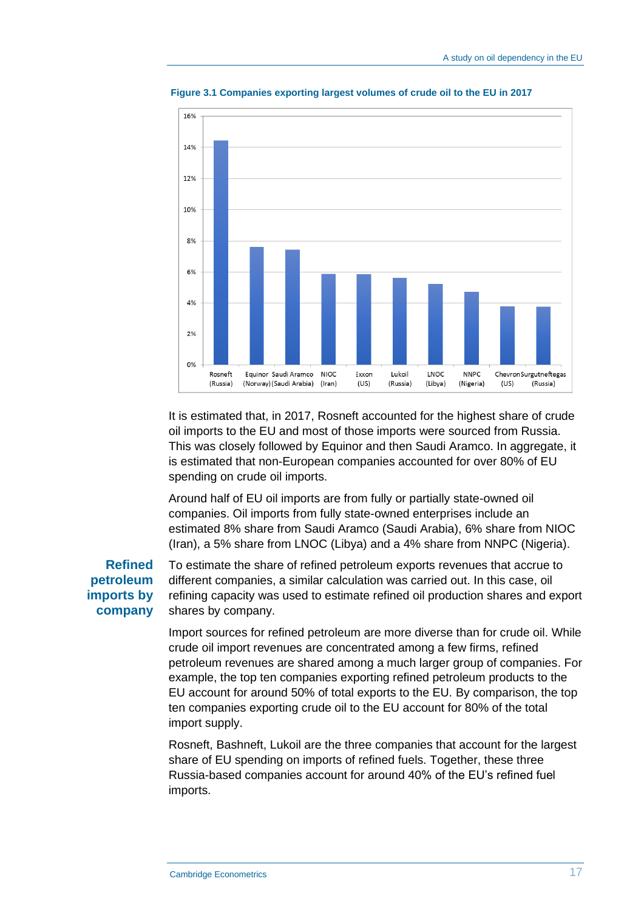

<span id="page-16-0"></span>**Figure 3.1 Companies exporting largest volumes of crude oil to the EU in 2017**

It is estimated that, in 2017, Rosneft accounted for the highest share of crude oil imports to the EU and most of those imports were sourced from Russia. This was closely followed by Equinor and then Saudi Aramco. In aggregate, it is estimated that non-European companies accounted for over 80% of EU spending on crude oil imports.

Around half of EU oil imports are from fully or partially state-owned oil companies. Oil imports from fully state-owned enterprises include an estimated 8% share from Saudi Aramco (Saudi Arabia), 6% share from NIOC (Iran), a 5% share from LNOC (Libya) and a 4% share from NNPC (Nigeria).

#### **Refined petroleum imports by company**

To estimate the share of refined petroleum exports revenues that accrue to different companies, a similar calculation was carried out. In this case, oil refining capacity was used to estimate refined oil production shares and export shares by company.

Import sources for refined petroleum are more diverse than for crude oil. While crude oil import revenues are concentrated among a few firms, refined petroleum revenues are shared among a much larger group of companies. For example, the top ten companies exporting refined petroleum products to the EU account for around 50% of total exports to the EU. By comparison, the top ten companies exporting crude oil to the EU account for 80% of the total import supply.

Rosneft, Bashneft, Lukoil are the three companies that account for the largest share of EU spending on imports of refined fuels. Together, these three Russia-based companies account for around 40% of the EU's refined fuel imports.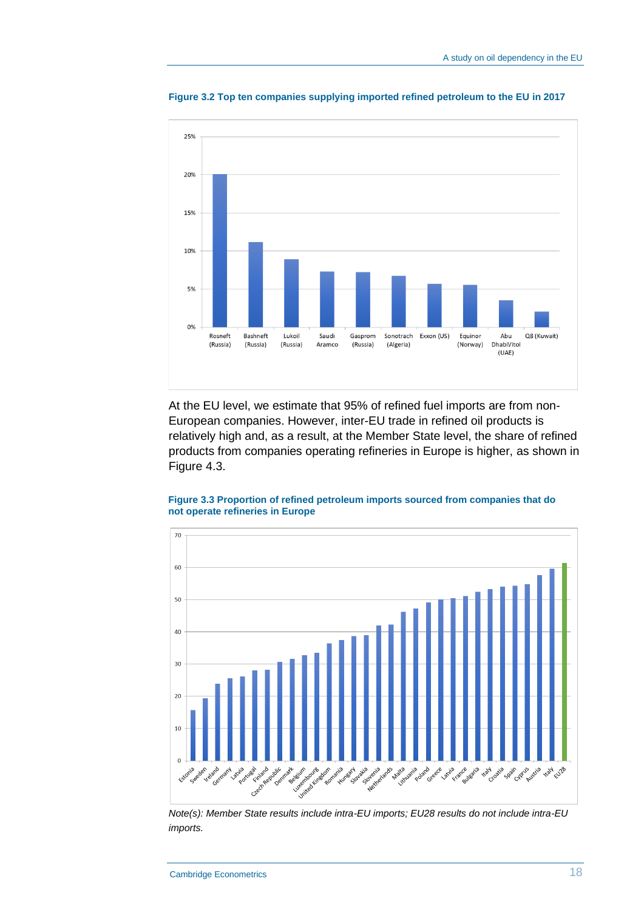

**Figure 3.2 Top ten companies supplying imported refined petroleum to the EU in 2017**

At the EU level, we estimate that 95% of refined fuel imports are from non-European companies. However, inter-EU trade in refined oil products is relatively high and, as a result, at the Member State level, the share of refined products from companies operating refineries in Europe is higher, as shown in [Figure 4.3.](#page-17-0)



<span id="page-17-0"></span>**Figure 3.3 Proportion of refined petroleum imports sourced from companies that do not operate refineries in Europe**

*Note(s): Member State results include intra-EU imports; EU28 results do not include intra-EU imports.*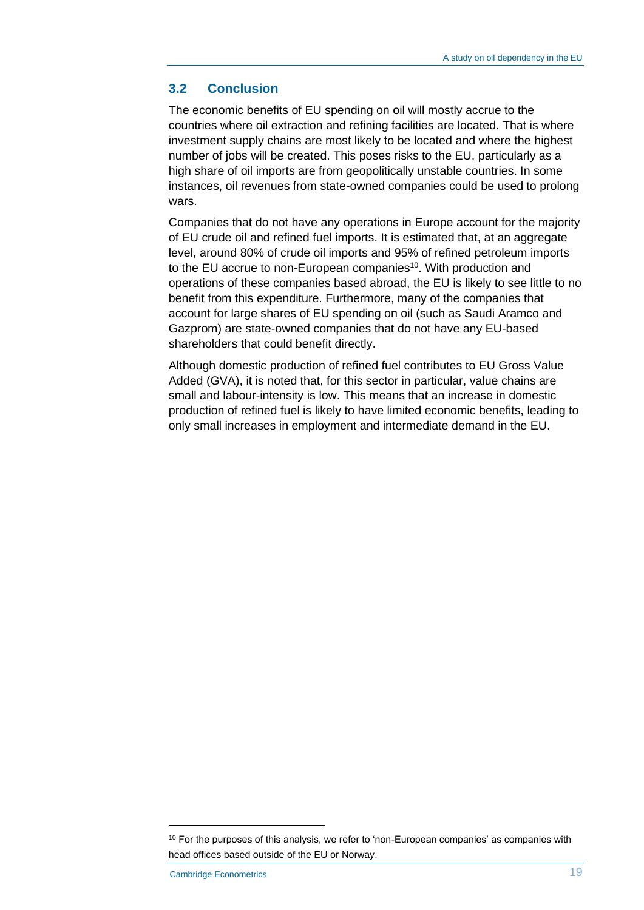#### **3.2 Conclusion**

The economic benefits of EU spending on oil will mostly accrue to the countries where oil extraction and refining facilities are located. That is where investment supply chains are most likely to be located and where the highest number of jobs will be created. This poses risks to the EU, particularly as a high share of oil imports are from geopolitically unstable countries. In some instances, oil revenues from state-owned companies could be used to prolong wars.

Companies that do not have any operations in Europe account for the majority of EU crude oil and refined fuel imports. It is estimated that, at an aggregate level, around 80% of crude oil imports and 95% of refined petroleum imports to the EU accrue to non-European companies<sup>10</sup>. With production and operations of these companies based abroad, the EU is likely to see little to no benefit from this expenditure. Furthermore, many of the companies that account for large shares of EU spending on oil (such as Saudi Aramco and Gazprom) are state-owned companies that do not have any EU-based shareholders that could benefit directly.

Although domestic production of refined fuel contributes to EU Gross Value Added (GVA), it is noted that, for this sector in particular, value chains are small and labour-intensity is low. This means that an increase in domestic production of refined fuel is likely to have limited economic benefits, leading to only small increases in employment and intermediate demand in the EU.

<sup>&</sup>lt;sup>10</sup> For the purposes of this analysis, we refer to 'non-European companies' as companies with head offices based outside of the EU or Norway.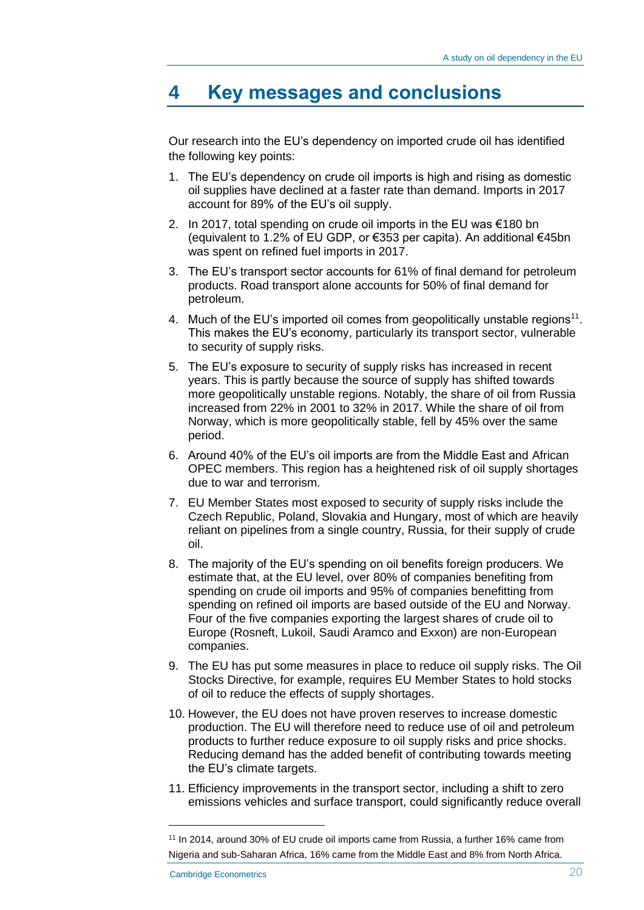### **4 Key messages and conclusions**

Our research into the EU's dependency on imported crude oil has identified the following key points:

- 1. The EU's dependency on crude oil imports is high and rising as domestic oil supplies have declined at a faster rate than demand. Imports in 2017 account for 89% of the EU's oil supply.
- 2. In 2017, total spending on crude oil imports in the EU was €180 bn (equivalent to 1.2% of EU GDP, or €353 per capita). An additional €45bn was spent on refined fuel imports in 2017.
- 3. The EU's transport sector accounts for 61% of final demand for petroleum products. Road transport alone accounts for 50% of final demand for petroleum.
- 4. Much of the EU's imported oil comes from geopolitically unstable regions<sup>11</sup>. This makes the EU's economy, particularly its transport sector, vulnerable to security of supply risks.
- 5. The EU's exposure to security of supply risks has increased in recent years. This is partly because the source of supply has shifted towards more geopolitically unstable regions. Notably, the share of oil from Russia increased from 22% in 2001 to 32% in 2017. While the share of oil from Norway, which is more geopolitically stable, fell by 45% over the same period.
- 6. Around 40% of the EU's oil imports are from the Middle East and African OPEC members. This region has a heightened risk of oil supply shortages due to war and terrorism.
- 7. EU Member States most exposed to security of supply risks include the Czech Republic, Poland, Slovakia and Hungary, most of which are heavily reliant on pipelines from a single country, Russia, for their supply of crude oil.
- 8. The majority of the EU's spending on oil benefits foreign producers. We estimate that, at the EU level, over 80% of companies benefiting from spending on crude oil imports and 95% of companies benefitting from spending on refined oil imports are based outside of the EU and Norway. Four of the five companies exporting the largest shares of crude oil to Europe (Rosneft, Lukoil, Saudi Aramco and Exxon) are non-European companies.
- 9. The EU has put some measures in place to reduce oil supply risks. The Oil Stocks Directive, for example, requires EU Member States to hold stocks of oil to reduce the effects of supply shortages.
- 10. However, the EU does not have proven reserves to increase domestic production. The EU will therefore need to reduce use of oil and petroleum products to further reduce exposure to oil supply risks and price shocks. Reducing demand has the added benefit of contributing towards meeting the EU's climate targets.
- 11. Efficiency improvements in the transport sector, including a shift to zero emissions vehicles and surface transport, could significantly reduce overall

<sup>11</sup> In 2014, around 30% of EU crude oil imports came from Russia, a further 16% came from Nigeria and sub-Saharan Africa, 16% came from the Middle East and 8% from North Africa.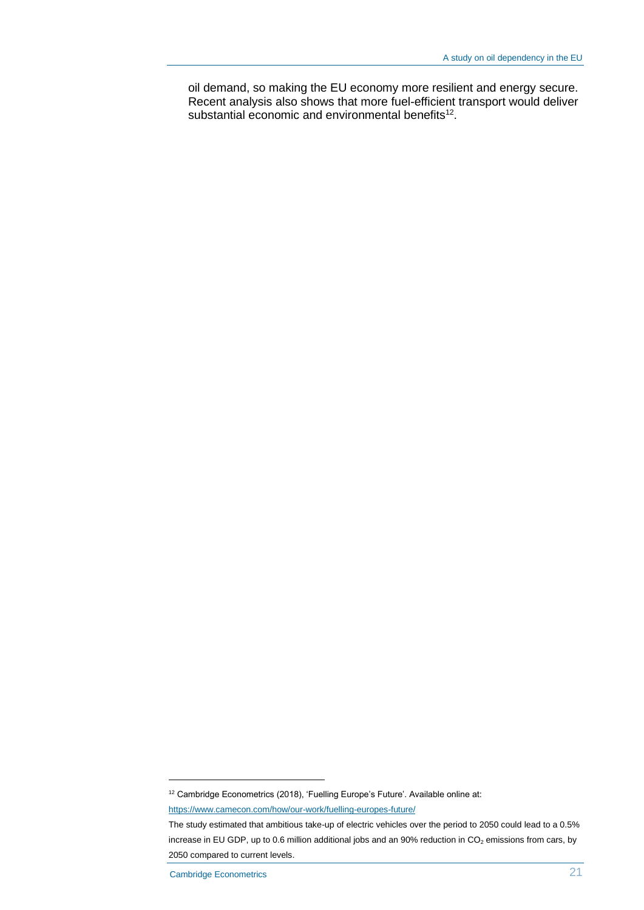oil demand, so making the EU economy more resilient and energy secure. Recent analysis also shows that more fuel-efficient transport would deliver substantial economic and environmental benefits $12$ .

<sup>&</sup>lt;sup>12</sup> Cambridge Econometrics (2018), 'Fuelling Europe's Future'. Available online at:

https://www.camecon.com/how/our-work/fuelling-europes-future/

The study estimated that ambitious take-up of electric vehicles over the period to 2050 could lead to a 0.5% increase in EU GDP, up to 0.6 million additional jobs and an 90% reduction in  $CO<sub>2</sub>$  emissions from cars, by 2050 compared to current levels.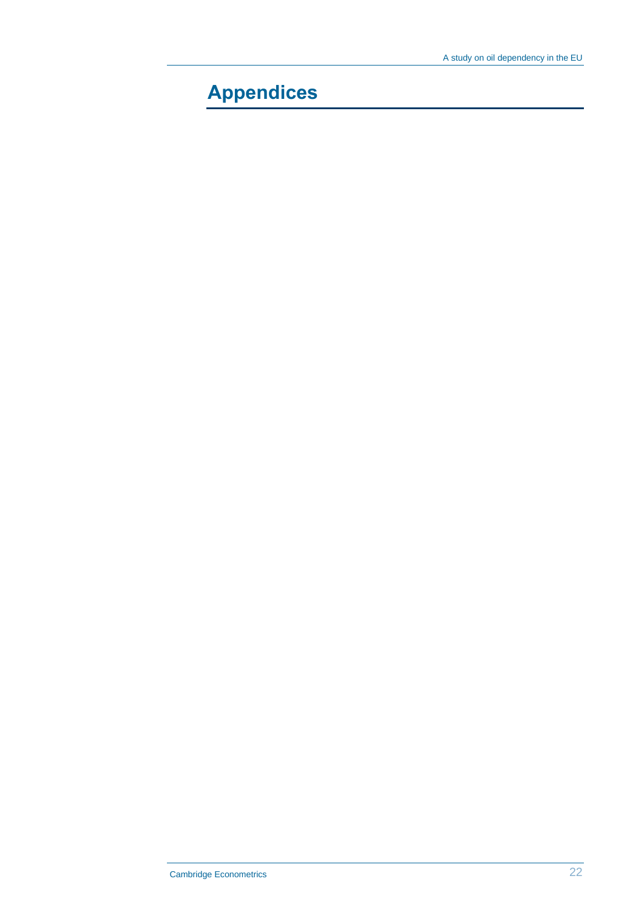# **Appendices**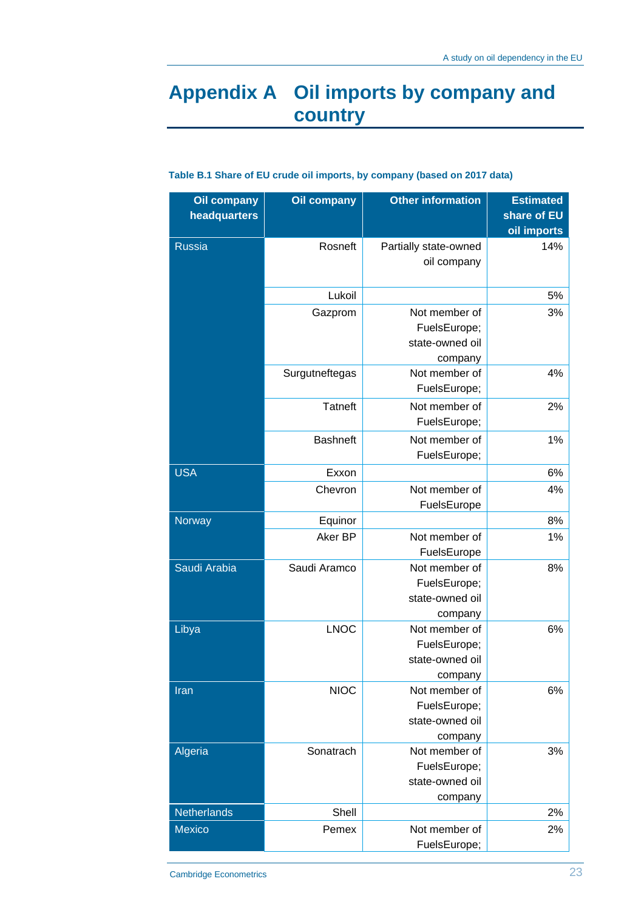### **Appendix A Oil imports by company and country**

| <b>Oil company</b> | <b>Other information</b><br><b>Oil company</b> |                       | <b>Estimated</b> |  |
|--------------------|------------------------------------------------|-----------------------|------------------|--|
| headquarters       |                                                |                       | share of EU      |  |
|                    |                                                |                       | oil imports      |  |
| <b>Russia</b>      | Rosneft                                        | Partially state-owned | 14%              |  |
|                    |                                                | oil company           |                  |  |
|                    |                                                |                       |                  |  |
|                    | Lukoil                                         |                       | 5%               |  |
|                    | Gazprom                                        | Not member of         | 3%               |  |
|                    |                                                | FuelsEurope;          |                  |  |
|                    |                                                | state-owned oil       |                  |  |
|                    |                                                | company               |                  |  |
|                    | Surgutneftegas                                 | Not member of         | 4%               |  |
|                    |                                                | FuelsEurope;          |                  |  |
|                    | <b>Tatneft</b>                                 | Not member of         | 2%               |  |
|                    |                                                | FuelsEurope;          |                  |  |
|                    | <b>Bashneft</b>                                | Not member of         | 1%               |  |
|                    |                                                | FuelsEurope;          |                  |  |
| <b>USA</b>         | Exxon                                          |                       | 6%               |  |
|                    | Chevron                                        | Not member of         | 4%               |  |
|                    |                                                | FuelsEurope           |                  |  |
| Norway             | Equinor                                        |                       | 8%               |  |
|                    | Aker BP                                        | Not member of         | 1%               |  |
|                    |                                                | FuelsEurope           |                  |  |
| Saudi Arabia       | Saudi Aramco                                   | Not member of         | 8%               |  |
|                    |                                                | FuelsEurope;          |                  |  |
|                    |                                                | state-owned oil       |                  |  |
|                    |                                                | company               |                  |  |
| Libya              | <b>LNOC</b>                                    | Not member of         | 6%               |  |
|                    |                                                | FuelsEurope;          |                  |  |
|                    |                                                | state-owned oil       |                  |  |
|                    |                                                | company               |                  |  |
| Iran               | <b>NIOC</b>                                    | Not member of         | 6%               |  |
|                    |                                                | FuelsEurope;          |                  |  |
|                    |                                                | state-owned oil       |                  |  |
|                    |                                                | company               |                  |  |
| Algeria            | Sonatrach                                      | Not member of         | 3%               |  |
|                    |                                                | FuelsEurope;          |                  |  |
|                    |                                                | state-owned oil       |                  |  |
|                    |                                                | company               |                  |  |
| Netherlands        | Shell                                          |                       | 2%               |  |
| Mexico             | Pemex                                          | Not member of         | 2%               |  |
|                    |                                                | FuelsEurope;          |                  |  |

#### **Table B.1 Share of EU crude oil imports, by company (based on 2017 data)**

Cambridge Econometrics 23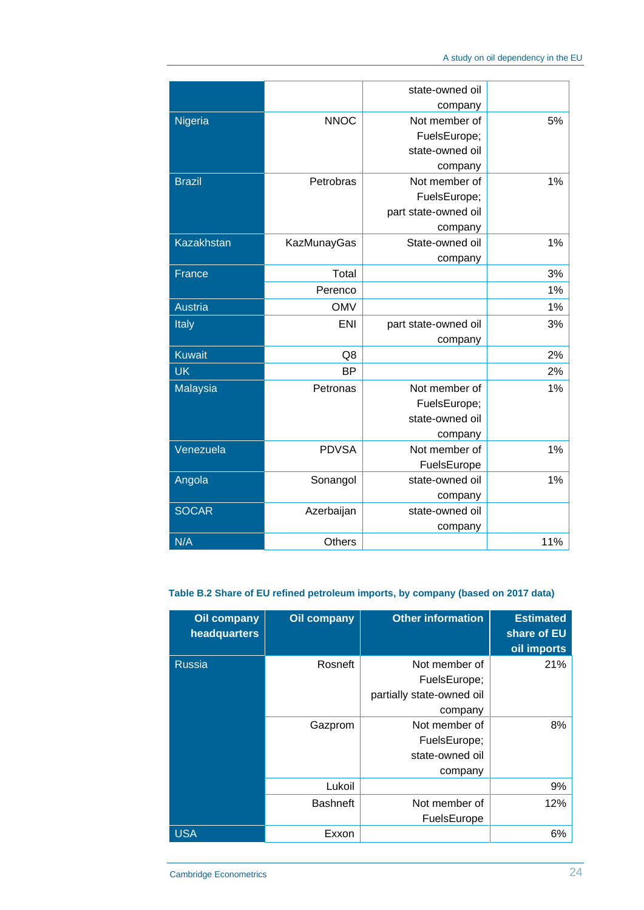|                   |                    | state-owned oil      |     |
|-------------------|--------------------|----------------------|-----|
|                   |                    | company              |     |
| Nigeria           | <b>NNOC</b>        | Not member of        | 5%  |
|                   |                    | FuelsEurope;         |     |
|                   |                    | state-owned oil      |     |
|                   |                    | company              |     |
| <b>Brazil</b>     | Petrobras          | Not member of        | 1%  |
|                   |                    | FuelsEurope;         |     |
|                   |                    | part state-owned oil |     |
|                   |                    | company              |     |
| <b>Kazakhstan</b> | <b>KazMunayGas</b> | State-owned oil      | 1%  |
|                   |                    | company              |     |
| France            | Total              |                      | 3%  |
|                   | Perenco            |                      | 1%  |
| <b>Austria</b>    | <b>OMV</b>         |                      | 1%  |
| Italy             | <b>ENI</b>         | part state-owned oil | 3%  |
|                   |                    | company              |     |
| <b>Kuwait</b>     | Q8                 |                      | 2%  |
| <b>UK</b>         | <b>BP</b>          |                      | 2%  |
| <b>Malaysia</b>   | Petronas           | Not member of        | 1%  |
|                   |                    | FuelsEurope;         |     |
|                   |                    | state-owned oil      |     |
|                   |                    | company              |     |
| Venezuela         | <b>PDVSA</b>       | Not member of        | 1%  |
|                   |                    | FuelsEurope          |     |
| Angola            | Sonangol           | state-owned oil      | 1%  |
|                   |                    | company              |     |
| <b>SOCAR</b>      | Azerbaijan         | state-owned oil      |     |
|                   |                    | company              |     |
| N/A               | Others             |                      | 11% |

#### **Table B.2 Share of EU refined petroleum imports, by company (based on 2017 data)**

| <b>Oil company</b><br>headquarters | <b>Oil company</b> | <b>Other information</b>                                              | <b>Estimated</b><br>share of EU<br>oil imports |
|------------------------------------|--------------------|-----------------------------------------------------------------------|------------------------------------------------|
| <b>Russia</b>                      | Rosneft            | Not member of<br>FuelsEurope:<br>partially state-owned oil<br>company | 21%                                            |
|                                    | Gazprom            | Not member of<br>FuelsEurope;<br>state-owned oil<br>company           | 8%                                             |
|                                    | Lukoil             |                                                                       | 9%                                             |
|                                    | <b>Bashneft</b>    | Not member of<br>FuelsEurope                                          | 12%                                            |
| <b>USA</b>                         | Exxon              |                                                                       | 6%                                             |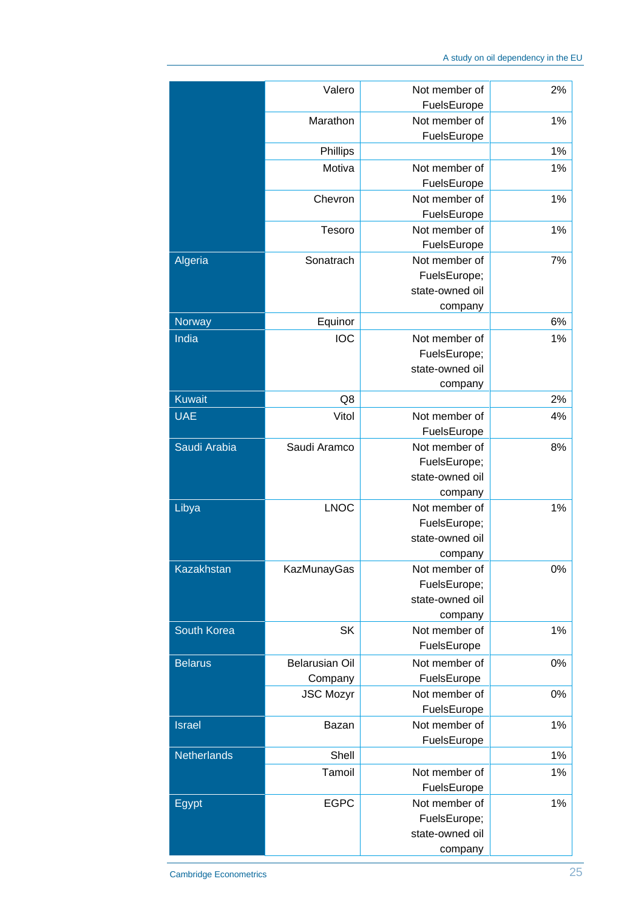|                    | Valero                | Not member of                | 2%    |
|--------------------|-----------------------|------------------------------|-------|
|                    |                       | FuelsEurope                  |       |
|                    | Marathon              | Not member of<br>FuelsEurope | 1%    |
|                    | Phillips              |                              | 1%    |
|                    | Motiva                | Not member of                | 1%    |
|                    |                       | FuelsEurope                  |       |
|                    | Chevron               | Not member of                | 1%    |
|                    |                       | FuelsEurope                  |       |
|                    | Tesoro                | Not member of                | 1%    |
|                    |                       |                              |       |
|                    |                       | FuelsEurope                  |       |
| Algeria            | Sonatrach             | Not member of                | 7%    |
|                    |                       | FuelsEurope;                 |       |
|                    |                       | state-owned oil              |       |
|                    |                       | company                      |       |
| Norway             | Equinor               |                              | 6%    |
| India              | <b>IOC</b>            | Not member of                | 1%    |
|                    |                       | FuelsEurope;                 |       |
|                    |                       | state-owned oil              |       |
|                    |                       | company                      |       |
| <b>Kuwait</b>      | Q8                    |                              | 2%    |
| <b>UAE</b>         | Vitol                 | Not member of                | 4%    |
|                    |                       | FuelsEurope                  |       |
| Saudi Arabia       | Saudi Aramco          | Not member of                | 8%    |
|                    |                       | FuelsEurope;                 |       |
|                    |                       | state-owned oil              |       |
|                    |                       | company                      |       |
| Libya              | <b>LNOC</b>           | Not member of                | 1%    |
|                    |                       | FuelsEurope;                 |       |
|                    |                       | state-owned oil              |       |
|                    |                       | company                      |       |
| <b>Kazakhstan</b>  | <b>KazMunayGas</b>    | Not member of                | $0\%$ |
|                    |                       | FuelsEurope;                 |       |
|                    |                       | state-owned oil              |       |
|                    |                       | company                      |       |
| South Korea        | <b>SK</b>             | Not member of                | 1%    |
|                    |                       | FuelsEurope                  |       |
| <b>Belarus</b>     | <b>Belarusian Oil</b> | Not member of                | 0%    |
|                    | Company               | FuelsEurope                  |       |
|                    | <b>JSC Mozyr</b>      | Not member of                | 0%    |
|                    |                       | FuelsEurope                  |       |
| <b>Israel</b>      | Bazan                 | Not member of                | 1%    |
|                    |                       | FuelsEurope                  |       |
| <b>Netherlands</b> | Shell                 |                              | 1%    |
|                    | Tamoil                | Not member of                | 1%    |
|                    |                       | FuelsEurope                  |       |
| Egypt              | <b>EGPC</b>           | Not member of                | 1%    |
|                    |                       | FuelsEurope;                 |       |
|                    |                       | state-owned oil              |       |
|                    |                       |                              |       |
|                    |                       | company                      |       |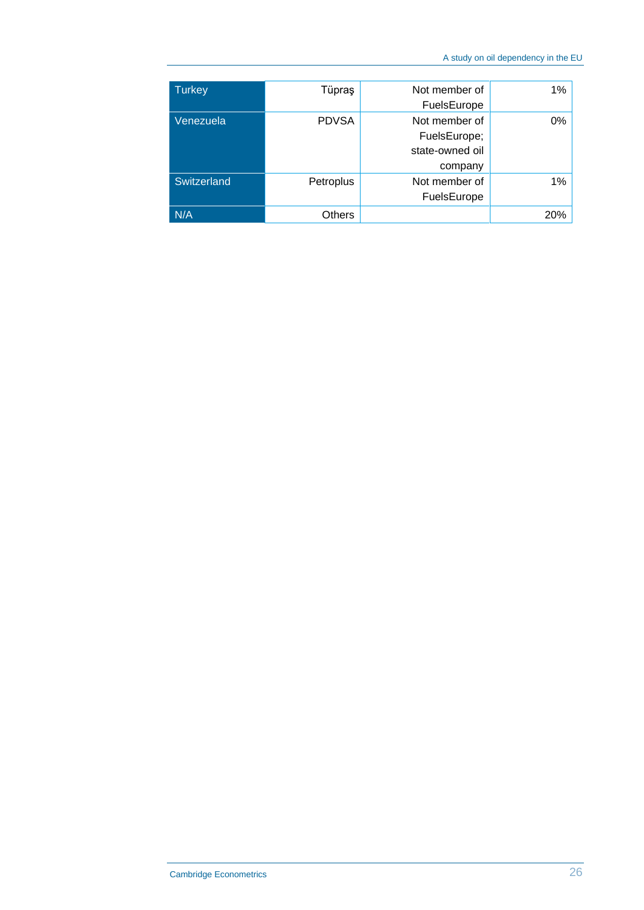| <b>Turkey</b> | Tüpraş       | Not member of<br>FuelsEurope                                | $1\%$ |
|---------------|--------------|-------------------------------------------------------------|-------|
| Venezuela     | <b>PDVSA</b> | Not member of<br>FuelsEurope;<br>state-owned oil<br>company | 0%    |
| Switzerland   | Petroplus    | Not member of<br>FuelsEurope                                | $1\%$ |
| N/A           | Others       |                                                             | 20%   |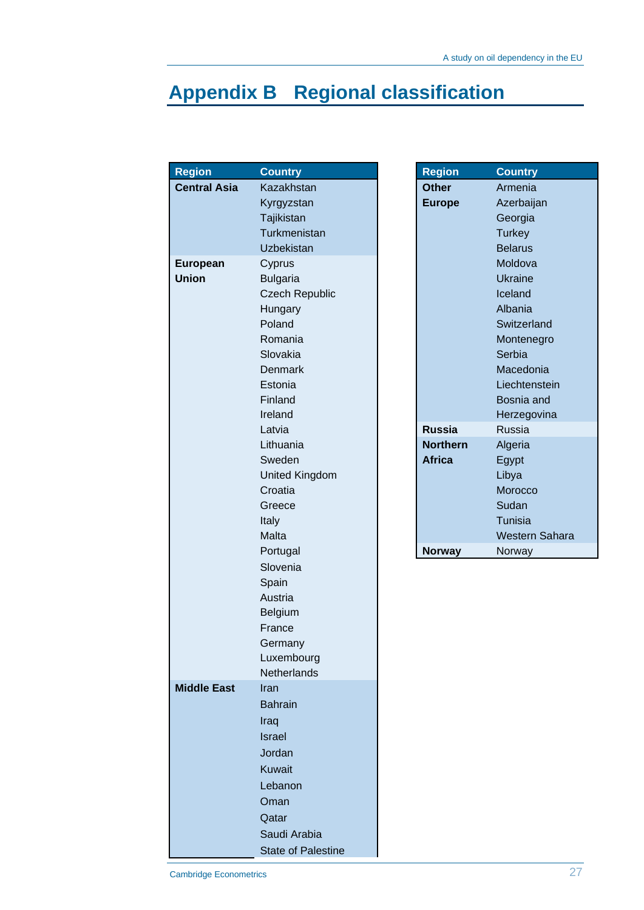# **Appendix B Regional classification**

| <b>Region</b>       | <b>Country</b>            | <b>Region</b>   | <b>Country</b> |
|---------------------|---------------------------|-----------------|----------------|
| <b>Central Asia</b> | Kazakhstan                | <b>Other</b>    | Armenia        |
|                     | Kyrgyzstan                | <b>Europe</b>   | Azerbaija      |
|                     | Tajikistan                |                 | Georgia        |
|                     | Turkmenistan              |                 | <b>Turkey</b>  |
|                     | <b>Uzbekistan</b>         |                 | <b>Belarus</b> |
| European            | Cyprus                    |                 | Moldova        |
| <b>Union</b>        | <b>Bulgaria</b>           |                 | <b>Ukraine</b> |
|                     | <b>Czech Republic</b>     |                 | Iceland        |
|                     | Hungary                   |                 | Albania        |
|                     | Poland                    |                 | Switzerla      |
|                     | Romania                   |                 | Montene        |
|                     | Slovakia                  |                 | Serbia         |
|                     | Denmark                   |                 | Macedor        |
|                     | Estonia                   |                 | Liechten       |
|                     | Finland                   |                 | Bosnia a       |
|                     | Ireland                   |                 | Herzego        |
|                     | Latvia                    | <b>Russia</b>   | Russia         |
|                     | Lithuania                 | <b>Northern</b> | Algeria        |
|                     | Sweden                    | <b>Africa</b>   | Egypt          |
|                     | <b>United Kingdom</b>     |                 | Libya          |
|                     | Croatia                   |                 | Morocco        |
|                     | Greece                    |                 | Sudan          |
|                     | Italy                     |                 | Tunisia        |
|                     | Malta                     |                 | Western        |
|                     | Portugal                  | <b>Norway</b>   | Norway         |
|                     | Slovenia                  |                 |                |
|                     | Spain                     |                 |                |
|                     | Austria                   |                 |                |
|                     | Belgium                   |                 |                |
|                     | France                    |                 |                |
|                     | Germany                   |                 |                |
|                     | Luxembourg                |                 |                |
| <b>Middle East</b>  | Netherlands<br>Iran       |                 |                |
|                     | <b>Bahrain</b>            |                 |                |
|                     |                           |                 |                |
|                     | Iraq                      |                 |                |
|                     | <b>Israel</b>             |                 |                |
|                     | Jordan                    |                 |                |
|                     | <b>Kuwait</b>             |                 |                |
|                     | Lebanon                   |                 |                |
|                     | Oman                      |                 |                |
|                     | Qatar                     |                 |                |
|                     | Saudi Arabia              |                 |                |
|                     | <b>State of Palestine</b> |                 |                |

| <b>Country</b>        | <b>Region</b>   | <b>Country</b> |
|-----------------------|-----------------|----------------|
| Kazakhstan            | <b>Other</b>    | Armenia        |
| Kyrgyzstan            | <b>Europe</b>   | Azerbaijan     |
| Tajikistan            |                 | Georgia        |
| Turkmenistan          |                 | <b>Turkey</b>  |
| Uzbekistan            |                 | <b>Belarus</b> |
| Cyprus                |                 | Moldova        |
| <b>Bulgaria</b>       |                 | Ukraine        |
| <b>Czech Republic</b> |                 | Iceland        |
| Hungary               |                 | Albania        |
| Poland                |                 | Switzerland    |
| Romania               |                 | Montenegro     |
| Slovakia              |                 | Serbia         |
| Denmark               |                 | Macedonia      |
| Estonia               |                 | Liechtenstein  |
| Finland               |                 | Bosnia and     |
| Ireland               |                 | Herzegovina    |
| Latvia                | <b>Russia</b>   | Russia         |
| Lithuania             | <b>Northern</b> | Algeria        |
| Sweden                | <b>Africa</b>   | Egypt          |
| <b>United Kingdom</b> |                 | Libya          |
| Croatia               |                 | Morocco        |
| Greece                |                 | Sudan          |
| Italy                 |                 | Tunisia        |
| Malta                 |                 | Western Sahara |
| Portugal              | <b>Norway</b>   | Norway         |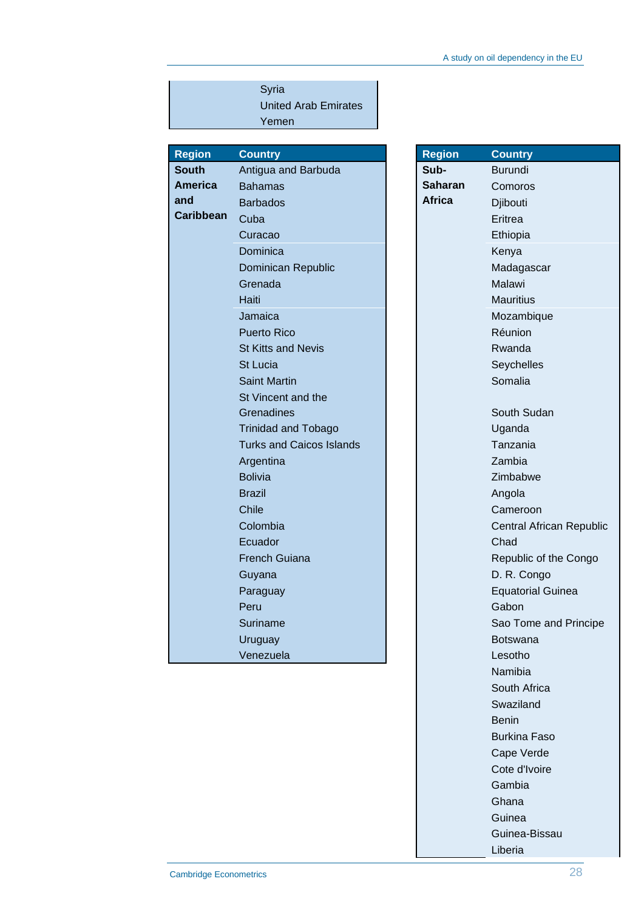|                  | Syria                           |                |                          |
|------------------|---------------------------------|----------------|--------------------------|
|                  | <b>United Arab Emirates</b>     |                |                          |
|                  | Yemen                           |                |                          |
|                  |                                 |                |                          |
| <b>Region</b>    | <b>Country</b>                  | <b>Region</b>  | <b>Country</b>           |
| <b>South</b>     | Antigua and Barbuda             | Sub-           | <b>Burundi</b>           |
| America          | <b>Bahamas</b>                  | <b>Saharan</b> | Comoros                  |
| and              | <b>Barbados</b>                 | <b>Africa</b>  | Djibouti                 |
| <b>Caribbean</b> | Cuba                            |                | Eritrea                  |
|                  | Curacao                         |                | Ethiopia                 |
|                  | Dominica                        |                | Kenya                    |
|                  | Dominican Republic              |                | Madagascar               |
|                  | Grenada                         |                | Malawi                   |
|                  | Haiti                           |                | <b>Mauritius</b>         |
|                  | Jamaica                         |                | Mozambique               |
|                  | <b>Puerto Rico</b>              |                | Réunion                  |
|                  | <b>St Kitts and Nevis</b>       |                | Rwanda                   |
|                  | <b>St Lucia</b>                 |                | Seychelles               |
|                  | <b>Saint Martin</b>             |                | Somalia                  |
|                  | St Vincent and the              |                |                          |
|                  | <b>Grenadines</b>               |                | South Sudan              |
|                  | <b>Trinidad and Tobago</b>      |                | Uganda                   |
|                  | <b>Turks and Caicos Islands</b> |                | Tanzania                 |
|                  | Argentina                       |                | Zambia                   |
|                  | <b>Bolivia</b>                  |                | Zimbabwe                 |
|                  | <b>Brazil</b>                   |                | Angola                   |
|                  | <b>Chile</b>                    |                | Cameroon                 |
|                  | Colombia                        |                | Central African Republi  |
|                  | Ecuador                         |                | Chad                     |
|                  | <b>French Guiana</b>            |                | Republic of the Congo    |
|                  | Guyana                          |                | D. R. Congo              |
|                  | Paraguay                        |                | <b>Equatorial Guinea</b> |
|                  | Peru                            |                | Gabon                    |
|                  | Suriname                        |                | Sao Tome and Principe    |
|                  | Uruguay                         |                | <b>Botswana</b>          |
|                  | Venezuela                       |                | Lesotho                  |
|                  |                                 |                |                          |

| <b>Country</b>                  | <b>Region</b>  | <b>Country</b>                  |
|---------------------------------|----------------|---------------------------------|
| Antigua and Barbuda             | Sub-           | <b>Burundi</b>                  |
| <b>Bahamas</b>                  | <b>Saharan</b> | Comoros                         |
| <b>Barbados</b>                 | <b>Africa</b>  | Djibouti                        |
| Cuba                            |                | Eritrea                         |
| Curacao                         |                | Ethiopia                        |
| Dominica                        |                | Kenya                           |
| Dominican Republic              |                | Madagascar                      |
| Grenada                         |                | Malawi                          |
| Haiti                           |                | <b>Mauritius</b>                |
| Jamaica                         |                | Mozambique                      |
| <b>Puerto Rico</b>              |                | Réunion                         |
| <b>St Kitts and Nevis</b>       |                | Rwanda                          |
| <b>St Lucia</b>                 |                | Seychelles                      |
| <b>Saint Martin</b>             |                | Somalia                         |
| St Vincent and the              |                |                                 |
| Grenadines                      |                | South Sudan                     |
| <b>Trinidad and Tobago</b>      |                | Uganda                          |
| <b>Turks and Caicos Islands</b> |                | Tanzania                        |
| Argentina                       |                | Zambia                          |
| <b>Bolivia</b>                  |                | Zimbabwe                        |
| <b>Brazil</b>                   |                | Angola                          |
| Chile                           |                | Cameroon                        |
| Colombia                        |                | <b>Central African Republic</b> |
| Ecuador                         |                | Chad                            |
| <b>French Guiana</b>            |                | Republic of the Congo           |
| Guyana                          |                | D. R. Congo                     |
| Paraguay                        |                | <b>Equatorial Guinea</b>        |
| Peru                            |                | Gabon                           |
| Suriname                        |                | Sao Tome and Principe           |
| Uruguay                         |                | <b>Botswana</b>                 |
| Venezuela                       |                | Lesotho                         |
|                                 |                | Namibia                         |
|                                 |                | South Africa                    |
|                                 |                | Swaziland                       |
|                                 |                | <b>Benin</b>                    |
|                                 |                | <b>Burkina Faso</b>             |
|                                 |                | Cape Verde                      |
|                                 |                | Cote d'Ivoire                   |
|                                 |                | Gambia                          |
|                                 |                | Ghana                           |
|                                 |                | Guinea                          |
|                                 |                | Guinea-Bissau                   |
|                                 |                | Liberia                         |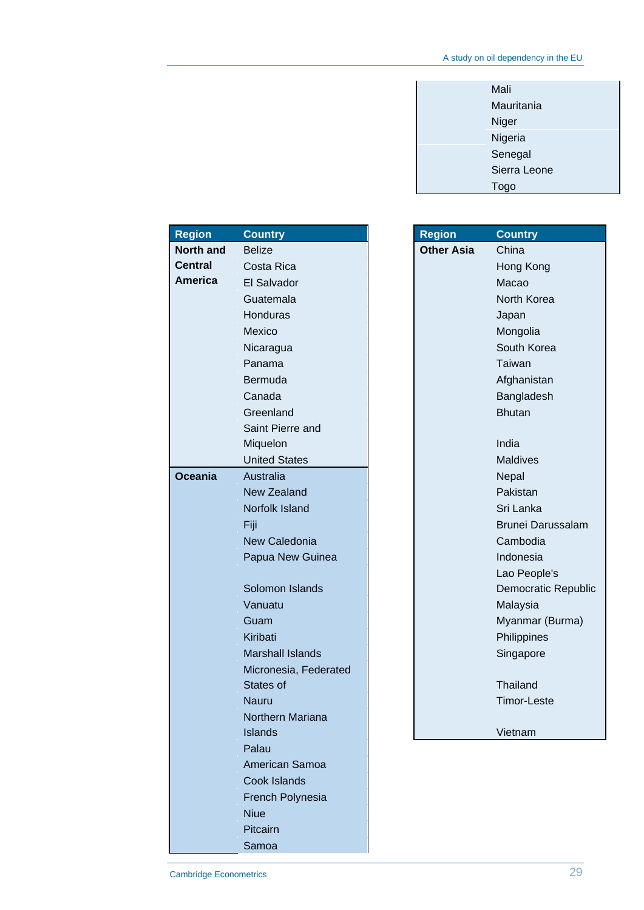| Mali         |
|--------------|
| Mauritania   |
| Niger        |
| Nigeria      |
| Senegal      |
| Sierra Leone |
| Togo         |

| <b>Region</b>    | <b>Country</b>          | <b>Region</b>     | <b>Country</b>           |
|------------------|-------------------------|-------------------|--------------------------|
| <b>North and</b> | <b>Belize</b>           | <b>Other Asia</b> | China                    |
| <b>Central</b>   | Costa Rica              |                   | Hong Kong                |
| <b>America</b>   | El Salvador             |                   | Macao                    |
|                  | Guatemala               |                   | North Korea              |
|                  | Honduras                |                   | Japan                    |
|                  | Mexico                  |                   | Mongolia                 |
|                  | Nicaragua               |                   | South Korea              |
|                  | Panama                  |                   | Taiwan                   |
|                  | Bermuda                 |                   | Afghanistan              |
|                  | Canada                  |                   | Bangladesh               |
|                  | Greenland               |                   | <b>Bhutan</b>            |
|                  | Saint Pierre and        |                   |                          |
|                  | Miquelon                |                   | India                    |
|                  | <b>United States</b>    |                   | <b>Maldives</b>          |
| <b>Oceania</b>   | Australia               |                   | Nepal                    |
|                  | <b>New Zealand</b>      |                   | Pakistan                 |
|                  | Norfolk Island          |                   | Sri Lanka                |
|                  | Fiji                    |                   | <b>Brunei Darussalam</b> |
|                  | New Caledonia           |                   | Cambodia                 |
|                  | Papua New Guinea        |                   | Indonesia                |
|                  |                         |                   | Lao People's             |
|                  | Solomon Islands         |                   | Democratic Republ        |
|                  | Vanuatu                 |                   | Malaysia                 |
|                  | Guam                    |                   | Myanmar (Burma)          |
|                  | Kiribati                |                   | Philippines              |
|                  | <b>Marshall Islands</b> |                   | Singapore                |
|                  | Micronesia, Federated   |                   |                          |
|                  | States of               |                   | Thailand                 |
|                  | <b>Nauru</b>            |                   | <b>Timor-Leste</b>       |
|                  | Northern Mariana        |                   |                          |
|                  | <b>Islands</b>          |                   | Vietnam                  |
|                  | Palau                   |                   |                          |
|                  | American Samoa          |                   |                          |
|                  | Cook Islands            |                   |                          |
|                  | French Polynesia        |                   |                          |
|                  | <b>Niue</b>             |                   |                          |
|                  | Pitcairn                |                   |                          |
|                  | Samoa                   |                   |                          |

| n    | <b>Country</b>                             |
|------|--------------------------------------------|
| Asia | China                                      |
|      | Hong Kong                                  |
|      | Macao                                      |
|      | North Korea                                |
|      | Japan                                      |
|      | Mongolia                                   |
|      | South Korea                                |
|      | Taiwan                                     |
|      | Afghanistan                                |
|      | Bangladesh                                 |
|      | <b>Bhutan</b>                              |
|      |                                            |
|      | India                                      |
|      | <b>Maldives</b>                            |
|      | Nepal                                      |
|      | Pakistan                                   |
|      | Sri Lanka                                  |
|      | <b>Brunei Darussalam</b>                   |
|      | Cambodia                                   |
|      | Indonesia                                  |
|      | Lao People's<br><b>Democratic Republic</b> |
|      | Malaysia                                   |
|      | Myanmar (Burma)                            |
|      | Philippines                                |
|      | Singapore                                  |
|      |                                            |
|      | Thailand                                   |
|      | <b>Timor-Leste</b>                         |
|      |                                            |
|      | Vietnam                                    |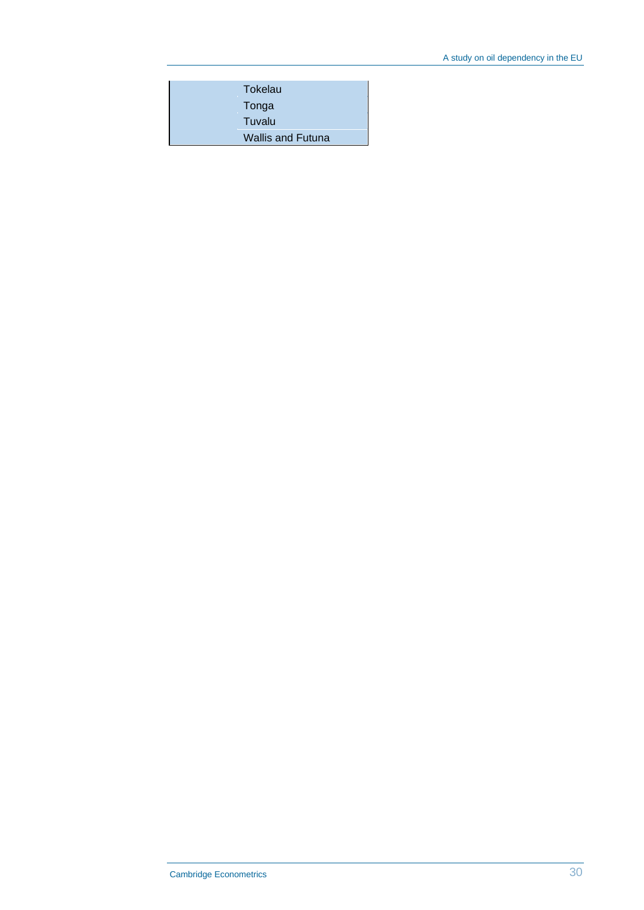| Tokelau                  |
|--------------------------|
| Tonga                    |
| Tuvalu                   |
| <b>Wallis and Futuna</b> |
|                          |